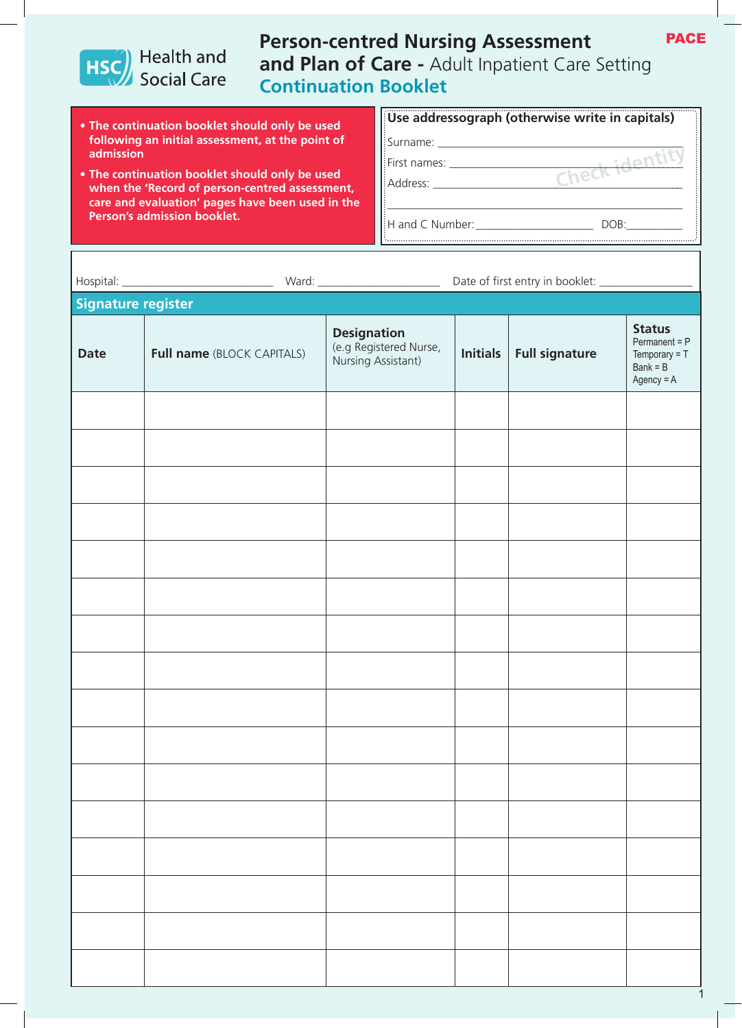

## **Person-centred Nursing Assessment and Plan of Care -** Adult Inpatient Care Setting **Continuation Booklet**

- **• The continuation booklet should only be used following an initial assessment, at the point of admission**
- **• The continuation booklet should only be used when the 'Record of person-centred assessment, care and evaluation' pages have been used in the Person's admission booklet.**

|                                          | $\left  \right $ Use addressograph (otherwise write in capitals) |
|------------------------------------------|------------------------------------------------------------------|
| Surname: ___                             |                                                                  |
| $\frac{1}{2}$ First names: $\frac{1}{2}$ | L : dont!                                                        |
| l!Address: _                             | $CK_{\perp}$                                                     |
|                                          |                                                                  |
| H and C Number:                          | DOB:                                                             |

| Signature register |                                   |                                                                    |              |                       |                                                                                    |
|--------------------|-----------------------------------|--------------------------------------------------------------------|--------------|-----------------------|------------------------------------------------------------------------------------|
| <b>Date</b>        | <b>Full name (BLOCK CAPITALS)</b> | <b>Designation</b><br>(e.g Registered Nurse,<br>Nursing Assistant) | Initials $ $ | <b>Full signature</b> | <b>Status</b><br>$Permannent = P$<br>Temporary $= T$<br>$Bank = B$<br>$Agency = A$ |
|                    |                                   |                                                                    |              |                       |                                                                                    |
|                    |                                   |                                                                    |              |                       |                                                                                    |
|                    |                                   |                                                                    |              |                       |                                                                                    |
|                    |                                   |                                                                    |              |                       |                                                                                    |
|                    |                                   |                                                                    |              |                       |                                                                                    |
|                    |                                   |                                                                    |              |                       |                                                                                    |
|                    |                                   |                                                                    |              |                       |                                                                                    |
|                    |                                   |                                                                    |              |                       |                                                                                    |
|                    |                                   |                                                                    |              |                       |                                                                                    |
|                    |                                   |                                                                    |              |                       |                                                                                    |
|                    |                                   |                                                                    |              |                       |                                                                                    |
|                    |                                   |                                                                    |              |                       |                                                                                    |
|                    |                                   |                                                                    |              |                       |                                                                                    |
|                    |                                   |                                                                    |              |                       |                                                                                    |
|                    |                                   |                                                                    |              |                       |                                                                                    |
|                    |                                   |                                                                    |              |                       |                                                                                    |

PACE

1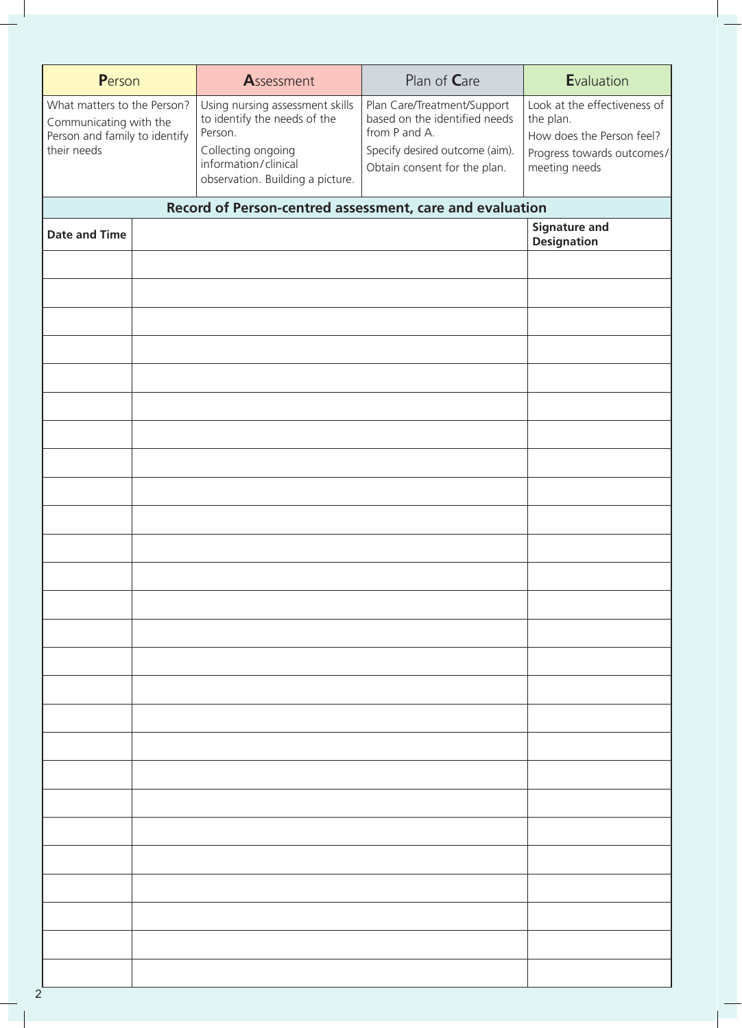| Person                                                                                                | Assessment                                                                                                                                                   | Plan of Care                                                                                                                                    | Evaluation                                                                                                            |
|-------------------------------------------------------------------------------------------------------|--------------------------------------------------------------------------------------------------------------------------------------------------------------|-------------------------------------------------------------------------------------------------------------------------------------------------|-----------------------------------------------------------------------------------------------------------------------|
| What matters to the Person?<br>Communicating with the<br>Person and family to identify<br>their needs | Using nursing assessment skills<br>to identify the needs of the<br>Person.<br>Collecting ongoing<br>information/clinical<br>observation. Building a picture. | Plan Care/Treatment/Support<br>based on the identified needs<br>from P and A.<br>Specify desired outcome (aim).<br>Obtain consent for the plan. | Look at the effectiveness of<br>the plan.<br>How does the Person feel?<br>Progress towards outcomes/<br>meeting needs |
|                                                                                                       | Record of Person-centred assessment, care and evaluation                                                                                                     |                                                                                                                                                 |                                                                                                                       |
| <b>Date and Time</b>                                                                                  |                                                                                                                                                              |                                                                                                                                                 | <b>Signature and</b><br><b>Designation</b>                                                                            |
|                                                                                                       |                                                                                                                                                              |                                                                                                                                                 |                                                                                                                       |
|                                                                                                       |                                                                                                                                                              |                                                                                                                                                 |                                                                                                                       |
|                                                                                                       |                                                                                                                                                              |                                                                                                                                                 |                                                                                                                       |
|                                                                                                       |                                                                                                                                                              |                                                                                                                                                 |                                                                                                                       |
|                                                                                                       |                                                                                                                                                              |                                                                                                                                                 |                                                                                                                       |
|                                                                                                       |                                                                                                                                                              |                                                                                                                                                 |                                                                                                                       |
|                                                                                                       |                                                                                                                                                              |                                                                                                                                                 |                                                                                                                       |
|                                                                                                       |                                                                                                                                                              |                                                                                                                                                 |                                                                                                                       |
|                                                                                                       |                                                                                                                                                              |                                                                                                                                                 |                                                                                                                       |
|                                                                                                       |                                                                                                                                                              |                                                                                                                                                 |                                                                                                                       |
|                                                                                                       |                                                                                                                                                              |                                                                                                                                                 |                                                                                                                       |
|                                                                                                       |                                                                                                                                                              |                                                                                                                                                 |                                                                                                                       |
|                                                                                                       |                                                                                                                                                              |                                                                                                                                                 |                                                                                                                       |
|                                                                                                       |                                                                                                                                                              |                                                                                                                                                 |                                                                                                                       |
|                                                                                                       |                                                                                                                                                              |                                                                                                                                                 |                                                                                                                       |
|                                                                                                       |                                                                                                                                                              |                                                                                                                                                 |                                                                                                                       |
|                                                                                                       |                                                                                                                                                              |                                                                                                                                                 |                                                                                                                       |
|                                                                                                       |                                                                                                                                                              |                                                                                                                                                 |                                                                                                                       |
|                                                                                                       |                                                                                                                                                              |                                                                                                                                                 |                                                                                                                       |
|                                                                                                       |                                                                                                                                                              |                                                                                                                                                 |                                                                                                                       |
|                                                                                                       |                                                                                                                                                              |                                                                                                                                                 |                                                                                                                       |
|                                                                                                       |                                                                                                                                                              |                                                                                                                                                 |                                                                                                                       |
| $\overline{2}$                                                                                        |                                                                                                                                                              |                                                                                                                                                 |                                                                                                                       |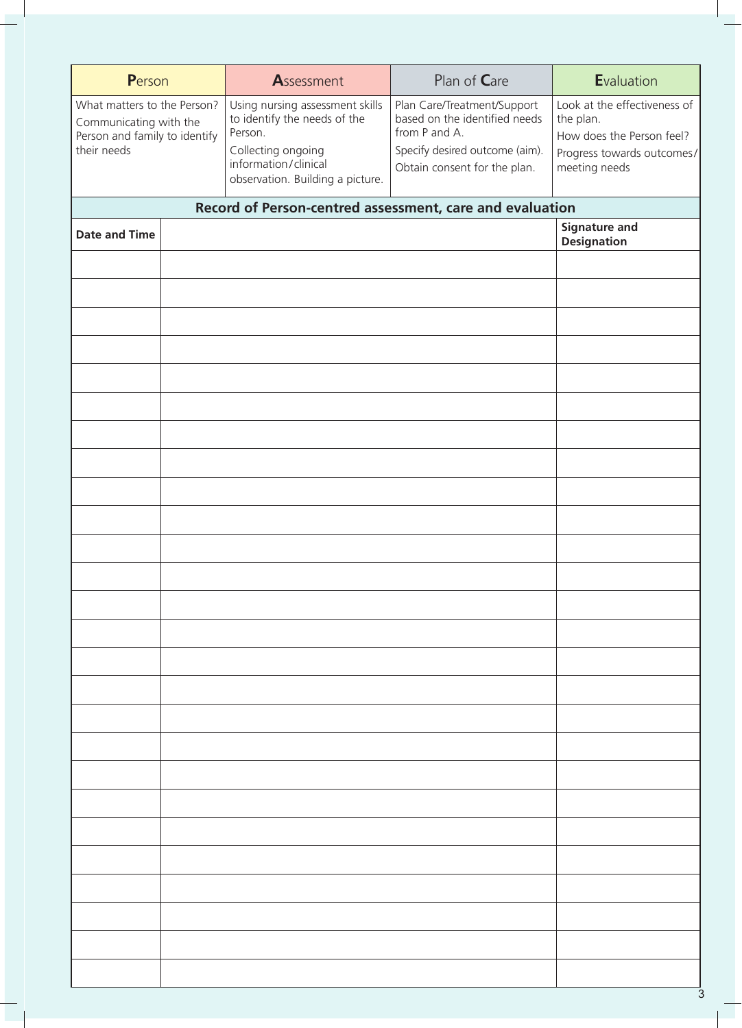| Person                                                                                                | Assessment                                                                                                                                                   | Plan of Care                                                                                                                                    | Evaluation                                                                                                            |
|-------------------------------------------------------------------------------------------------------|--------------------------------------------------------------------------------------------------------------------------------------------------------------|-------------------------------------------------------------------------------------------------------------------------------------------------|-----------------------------------------------------------------------------------------------------------------------|
| What matters to the Person?<br>Communicating with the<br>Person and family to identify<br>their needs | Using nursing assessment skills<br>to identify the needs of the<br>Person.<br>Collecting ongoing<br>information/clinical<br>observation. Building a picture. | Plan Care/Treatment/Support<br>based on the identified needs<br>from P and A.<br>Specify desired outcome (aim).<br>Obtain consent for the plan. | Look at the effectiveness of<br>the plan.<br>How does the Person feel?<br>Progress towards outcomes/<br>meeting needs |
|                                                                                                       | Record of Person-centred assessment, care and evaluation                                                                                                     |                                                                                                                                                 |                                                                                                                       |
| <b>Date and Time</b>                                                                                  |                                                                                                                                                              |                                                                                                                                                 | <b>Signature and</b><br><b>Designation</b>                                                                            |
|                                                                                                       |                                                                                                                                                              |                                                                                                                                                 |                                                                                                                       |
|                                                                                                       |                                                                                                                                                              |                                                                                                                                                 |                                                                                                                       |
|                                                                                                       |                                                                                                                                                              |                                                                                                                                                 |                                                                                                                       |
|                                                                                                       |                                                                                                                                                              |                                                                                                                                                 |                                                                                                                       |
|                                                                                                       |                                                                                                                                                              |                                                                                                                                                 |                                                                                                                       |
|                                                                                                       |                                                                                                                                                              |                                                                                                                                                 |                                                                                                                       |
|                                                                                                       |                                                                                                                                                              |                                                                                                                                                 |                                                                                                                       |
|                                                                                                       |                                                                                                                                                              |                                                                                                                                                 |                                                                                                                       |
|                                                                                                       |                                                                                                                                                              |                                                                                                                                                 |                                                                                                                       |
|                                                                                                       |                                                                                                                                                              |                                                                                                                                                 |                                                                                                                       |
|                                                                                                       |                                                                                                                                                              |                                                                                                                                                 |                                                                                                                       |
|                                                                                                       |                                                                                                                                                              |                                                                                                                                                 |                                                                                                                       |
|                                                                                                       |                                                                                                                                                              |                                                                                                                                                 |                                                                                                                       |
|                                                                                                       |                                                                                                                                                              |                                                                                                                                                 |                                                                                                                       |
|                                                                                                       |                                                                                                                                                              |                                                                                                                                                 |                                                                                                                       |
|                                                                                                       |                                                                                                                                                              |                                                                                                                                                 |                                                                                                                       |
|                                                                                                       |                                                                                                                                                              |                                                                                                                                                 |                                                                                                                       |
|                                                                                                       |                                                                                                                                                              |                                                                                                                                                 |                                                                                                                       |
|                                                                                                       |                                                                                                                                                              |                                                                                                                                                 |                                                                                                                       |
|                                                                                                       |                                                                                                                                                              |                                                                                                                                                 |                                                                                                                       |
|                                                                                                       |                                                                                                                                                              |                                                                                                                                                 |                                                                                                                       |
|                                                                                                       |                                                                                                                                                              |                                                                                                                                                 |                                                                                                                       |
|                                                                                                       |                                                                                                                                                              |                                                                                                                                                 |                                                                                                                       |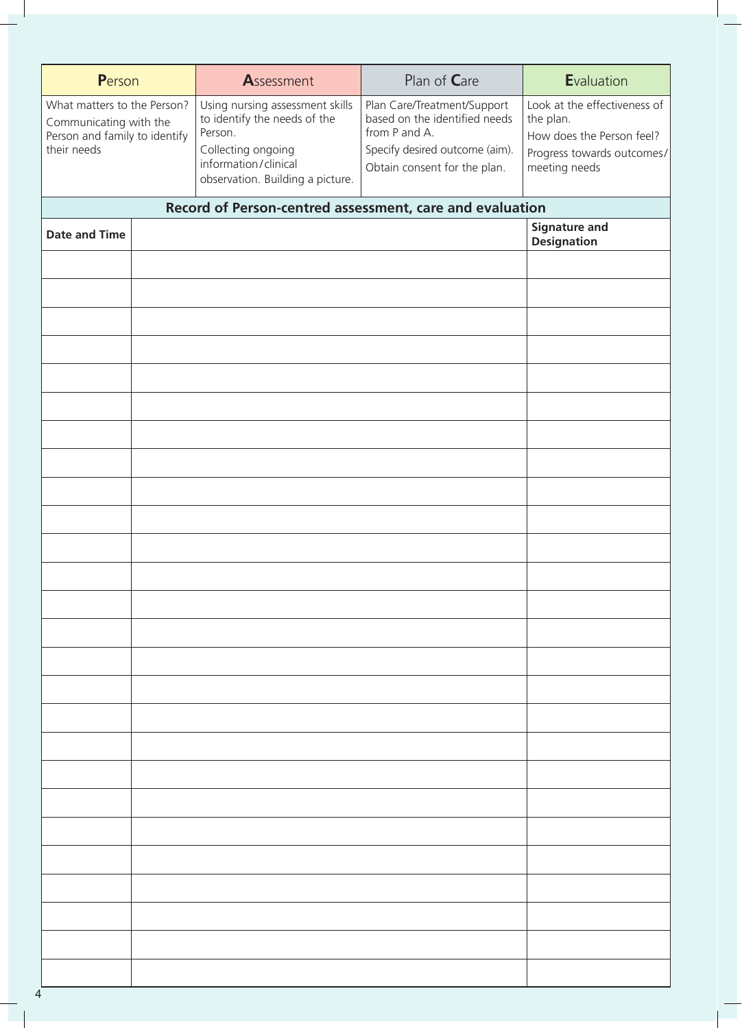| Person                                                                                                | Assessment                                                                                                                                                   | Plan of Care                                                                                                                                    | Evaluation                                                                                                            |
|-------------------------------------------------------------------------------------------------------|--------------------------------------------------------------------------------------------------------------------------------------------------------------|-------------------------------------------------------------------------------------------------------------------------------------------------|-----------------------------------------------------------------------------------------------------------------------|
| What matters to the Person?<br>Communicating with the<br>Person and family to identify<br>their needs | Using nursing assessment skills<br>to identify the needs of the<br>Person.<br>Collecting ongoing<br>information/clinical<br>observation. Building a picture. | Plan Care/Treatment/Support<br>based on the identified needs<br>from P and A.<br>Specify desired outcome (aim).<br>Obtain consent for the plan. | Look at the effectiveness of<br>the plan.<br>How does the Person feel?<br>Progress towards outcomes/<br>meeting needs |
|                                                                                                       | Record of Person-centred assessment, care and evaluation                                                                                                     |                                                                                                                                                 |                                                                                                                       |
| <b>Date and Time</b>                                                                                  |                                                                                                                                                              |                                                                                                                                                 | <b>Signature and</b>                                                                                                  |
|                                                                                                       |                                                                                                                                                              |                                                                                                                                                 | <b>Designation</b>                                                                                                    |
|                                                                                                       |                                                                                                                                                              |                                                                                                                                                 |                                                                                                                       |
|                                                                                                       |                                                                                                                                                              |                                                                                                                                                 |                                                                                                                       |
|                                                                                                       |                                                                                                                                                              |                                                                                                                                                 |                                                                                                                       |
|                                                                                                       |                                                                                                                                                              |                                                                                                                                                 |                                                                                                                       |
|                                                                                                       |                                                                                                                                                              |                                                                                                                                                 |                                                                                                                       |
|                                                                                                       |                                                                                                                                                              |                                                                                                                                                 |                                                                                                                       |
|                                                                                                       |                                                                                                                                                              |                                                                                                                                                 |                                                                                                                       |
|                                                                                                       |                                                                                                                                                              |                                                                                                                                                 |                                                                                                                       |
|                                                                                                       |                                                                                                                                                              |                                                                                                                                                 |                                                                                                                       |
|                                                                                                       |                                                                                                                                                              |                                                                                                                                                 |                                                                                                                       |
|                                                                                                       |                                                                                                                                                              |                                                                                                                                                 |                                                                                                                       |
|                                                                                                       |                                                                                                                                                              |                                                                                                                                                 |                                                                                                                       |
|                                                                                                       |                                                                                                                                                              |                                                                                                                                                 |                                                                                                                       |
|                                                                                                       |                                                                                                                                                              |                                                                                                                                                 |                                                                                                                       |
|                                                                                                       |                                                                                                                                                              |                                                                                                                                                 |                                                                                                                       |
|                                                                                                       |                                                                                                                                                              |                                                                                                                                                 |                                                                                                                       |
|                                                                                                       |                                                                                                                                                              |                                                                                                                                                 |                                                                                                                       |
|                                                                                                       |                                                                                                                                                              |                                                                                                                                                 |                                                                                                                       |
|                                                                                                       |                                                                                                                                                              |                                                                                                                                                 |                                                                                                                       |
|                                                                                                       |                                                                                                                                                              |                                                                                                                                                 |                                                                                                                       |
|                                                                                                       |                                                                                                                                                              |                                                                                                                                                 |                                                                                                                       |
|                                                                                                       |                                                                                                                                                              |                                                                                                                                                 |                                                                                                                       |
|                                                                                                       |                                                                                                                                                              |                                                                                                                                                 |                                                                                                                       |
|                                                                                                       |                                                                                                                                                              |                                                                                                                                                 |                                                                                                                       |
|                                                                                                       |                                                                                                                                                              |                                                                                                                                                 |                                                                                                                       |
|                                                                                                       |                                                                                                                                                              |                                                                                                                                                 |                                                                                                                       |
|                                                                                                       |                                                                                                                                                              |                                                                                                                                                 |                                                                                                                       |

4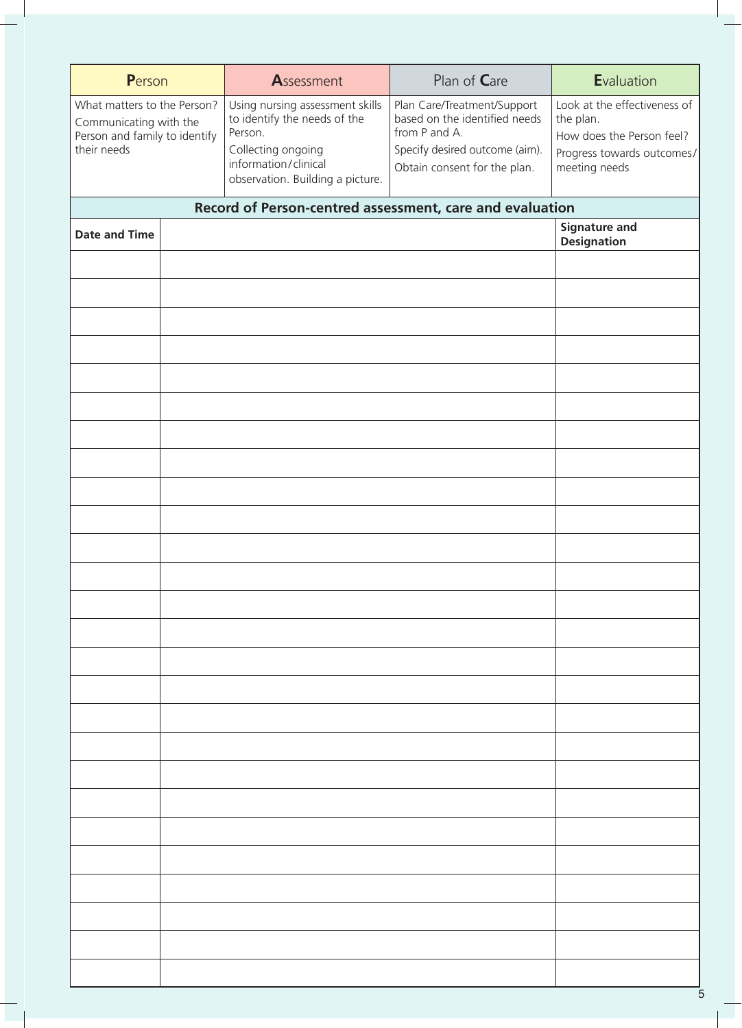| Person                                                                                                | Assessment                                                                                                                                                   | Plan of Care                                                                                                                                    | Evaluation                                                                                                            |
|-------------------------------------------------------------------------------------------------------|--------------------------------------------------------------------------------------------------------------------------------------------------------------|-------------------------------------------------------------------------------------------------------------------------------------------------|-----------------------------------------------------------------------------------------------------------------------|
| What matters to the Person?<br>Communicating with the<br>Person and family to identify<br>their needs | Using nursing assessment skills<br>to identify the needs of the<br>Person.<br>Collecting ongoing<br>information/clinical<br>observation. Building a picture. | Plan Care/Treatment/Support<br>based on the identified needs<br>from P and A.<br>Specify desired outcome (aim).<br>Obtain consent for the plan. | Look at the effectiveness of<br>the plan.<br>How does the Person feel?<br>Progress towards outcomes/<br>meeting needs |
|                                                                                                       | Record of Person-centred assessment, care and evaluation                                                                                                     |                                                                                                                                                 |                                                                                                                       |
| <b>Date and Time</b>                                                                                  |                                                                                                                                                              |                                                                                                                                                 | <b>Signature and</b>                                                                                                  |
|                                                                                                       |                                                                                                                                                              |                                                                                                                                                 | <b>Designation</b>                                                                                                    |
|                                                                                                       |                                                                                                                                                              |                                                                                                                                                 |                                                                                                                       |
|                                                                                                       |                                                                                                                                                              |                                                                                                                                                 |                                                                                                                       |
|                                                                                                       |                                                                                                                                                              |                                                                                                                                                 |                                                                                                                       |
|                                                                                                       |                                                                                                                                                              |                                                                                                                                                 |                                                                                                                       |
|                                                                                                       |                                                                                                                                                              |                                                                                                                                                 |                                                                                                                       |
|                                                                                                       |                                                                                                                                                              |                                                                                                                                                 |                                                                                                                       |
|                                                                                                       |                                                                                                                                                              |                                                                                                                                                 |                                                                                                                       |
|                                                                                                       |                                                                                                                                                              |                                                                                                                                                 |                                                                                                                       |
|                                                                                                       |                                                                                                                                                              |                                                                                                                                                 |                                                                                                                       |
|                                                                                                       |                                                                                                                                                              |                                                                                                                                                 |                                                                                                                       |
|                                                                                                       |                                                                                                                                                              |                                                                                                                                                 |                                                                                                                       |
|                                                                                                       |                                                                                                                                                              |                                                                                                                                                 |                                                                                                                       |
|                                                                                                       |                                                                                                                                                              |                                                                                                                                                 |                                                                                                                       |
|                                                                                                       |                                                                                                                                                              |                                                                                                                                                 |                                                                                                                       |
|                                                                                                       |                                                                                                                                                              |                                                                                                                                                 |                                                                                                                       |
|                                                                                                       |                                                                                                                                                              |                                                                                                                                                 |                                                                                                                       |
|                                                                                                       |                                                                                                                                                              |                                                                                                                                                 |                                                                                                                       |
|                                                                                                       |                                                                                                                                                              |                                                                                                                                                 |                                                                                                                       |
|                                                                                                       |                                                                                                                                                              |                                                                                                                                                 |                                                                                                                       |
|                                                                                                       |                                                                                                                                                              |                                                                                                                                                 |                                                                                                                       |
|                                                                                                       |                                                                                                                                                              |                                                                                                                                                 |                                                                                                                       |
|                                                                                                       |                                                                                                                                                              |                                                                                                                                                 |                                                                                                                       |
|                                                                                                       |                                                                                                                                                              |                                                                                                                                                 |                                                                                                                       |
|                                                                                                       |                                                                                                                                                              |                                                                                                                                                 |                                                                                                                       |
|                                                                                                       |                                                                                                                                                              |                                                                                                                                                 |                                                                                                                       |
|                                                                                                       |                                                                                                                                                              |                                                                                                                                                 |                                                                                                                       |
|                                                                                                       |                                                                                                                                                              |                                                                                                                                                 |                                                                                                                       |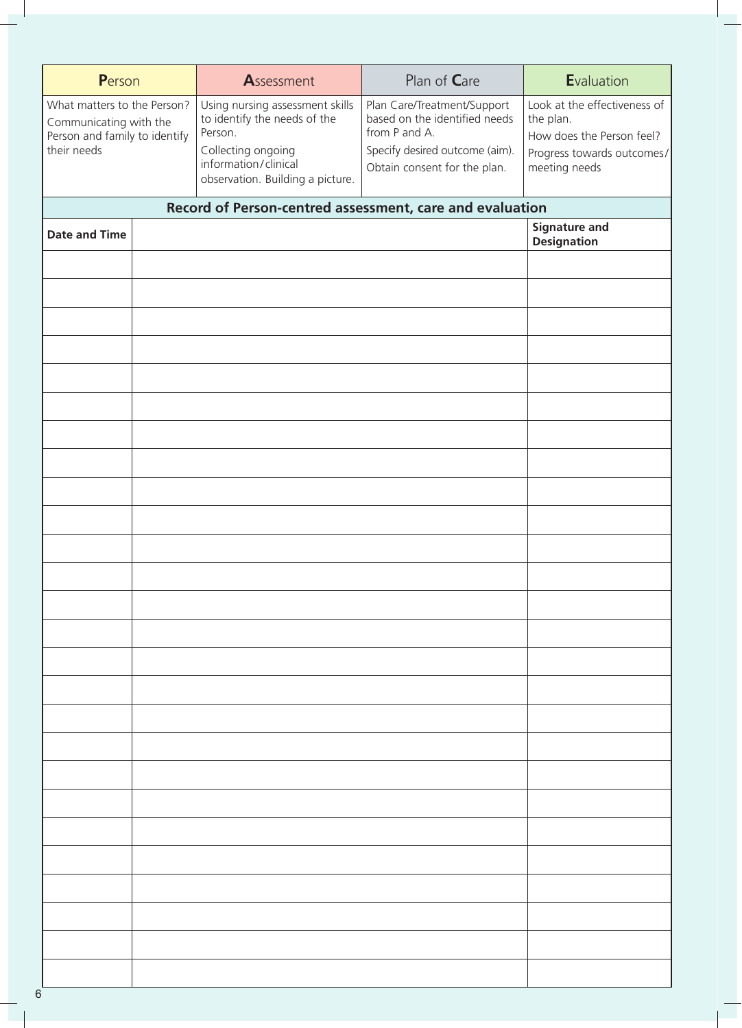| Person                                                                                                | Assessment                                                                                                                                                   | Plan of Care                                                                                                                                    | Evaluation                                                                                                            |
|-------------------------------------------------------------------------------------------------------|--------------------------------------------------------------------------------------------------------------------------------------------------------------|-------------------------------------------------------------------------------------------------------------------------------------------------|-----------------------------------------------------------------------------------------------------------------------|
| What matters to the Person?<br>Communicating with the<br>Person and family to identify<br>their needs | Using nursing assessment skills<br>to identify the needs of the<br>Person.<br>Collecting ongoing<br>information/clinical<br>observation. Building a picture. | Plan Care/Treatment/Support<br>based on the identified needs<br>from P and A.<br>Specify desired outcome (aim).<br>Obtain consent for the plan. | Look at the effectiveness of<br>the plan.<br>How does the Person feel?<br>Progress towards outcomes/<br>meeting needs |
|                                                                                                       | Record of Person-centred assessment, care and evaluation                                                                                                     |                                                                                                                                                 |                                                                                                                       |
| <b>Date and Time</b>                                                                                  |                                                                                                                                                              |                                                                                                                                                 | <b>Signature and</b><br><b>Designation</b>                                                                            |
|                                                                                                       |                                                                                                                                                              |                                                                                                                                                 |                                                                                                                       |
|                                                                                                       |                                                                                                                                                              |                                                                                                                                                 |                                                                                                                       |
|                                                                                                       |                                                                                                                                                              |                                                                                                                                                 |                                                                                                                       |
|                                                                                                       |                                                                                                                                                              |                                                                                                                                                 |                                                                                                                       |
|                                                                                                       |                                                                                                                                                              |                                                                                                                                                 |                                                                                                                       |
|                                                                                                       |                                                                                                                                                              |                                                                                                                                                 |                                                                                                                       |
|                                                                                                       |                                                                                                                                                              |                                                                                                                                                 |                                                                                                                       |
|                                                                                                       |                                                                                                                                                              |                                                                                                                                                 |                                                                                                                       |
|                                                                                                       |                                                                                                                                                              |                                                                                                                                                 |                                                                                                                       |
|                                                                                                       |                                                                                                                                                              |                                                                                                                                                 |                                                                                                                       |
|                                                                                                       |                                                                                                                                                              |                                                                                                                                                 |                                                                                                                       |
|                                                                                                       |                                                                                                                                                              |                                                                                                                                                 |                                                                                                                       |
|                                                                                                       |                                                                                                                                                              |                                                                                                                                                 |                                                                                                                       |
|                                                                                                       |                                                                                                                                                              |                                                                                                                                                 |                                                                                                                       |
|                                                                                                       |                                                                                                                                                              |                                                                                                                                                 |                                                                                                                       |
|                                                                                                       |                                                                                                                                                              |                                                                                                                                                 |                                                                                                                       |
|                                                                                                       |                                                                                                                                                              |                                                                                                                                                 |                                                                                                                       |
|                                                                                                       |                                                                                                                                                              |                                                                                                                                                 |                                                                                                                       |
|                                                                                                       |                                                                                                                                                              |                                                                                                                                                 |                                                                                                                       |
|                                                                                                       |                                                                                                                                                              |                                                                                                                                                 |                                                                                                                       |
|                                                                                                       |                                                                                                                                                              |                                                                                                                                                 |                                                                                                                       |
|                                                                                                       |                                                                                                                                                              |                                                                                                                                                 |                                                                                                                       |
|                                                                                                       |                                                                                                                                                              |                                                                                                                                                 |                                                                                                                       |
|                                                                                                       |                                                                                                                                                              |                                                                                                                                                 |                                                                                                                       |
|                                                                                                       |                                                                                                                                                              |                                                                                                                                                 |                                                                                                                       |
|                                                                                                       |                                                                                                                                                              |                                                                                                                                                 |                                                                                                                       |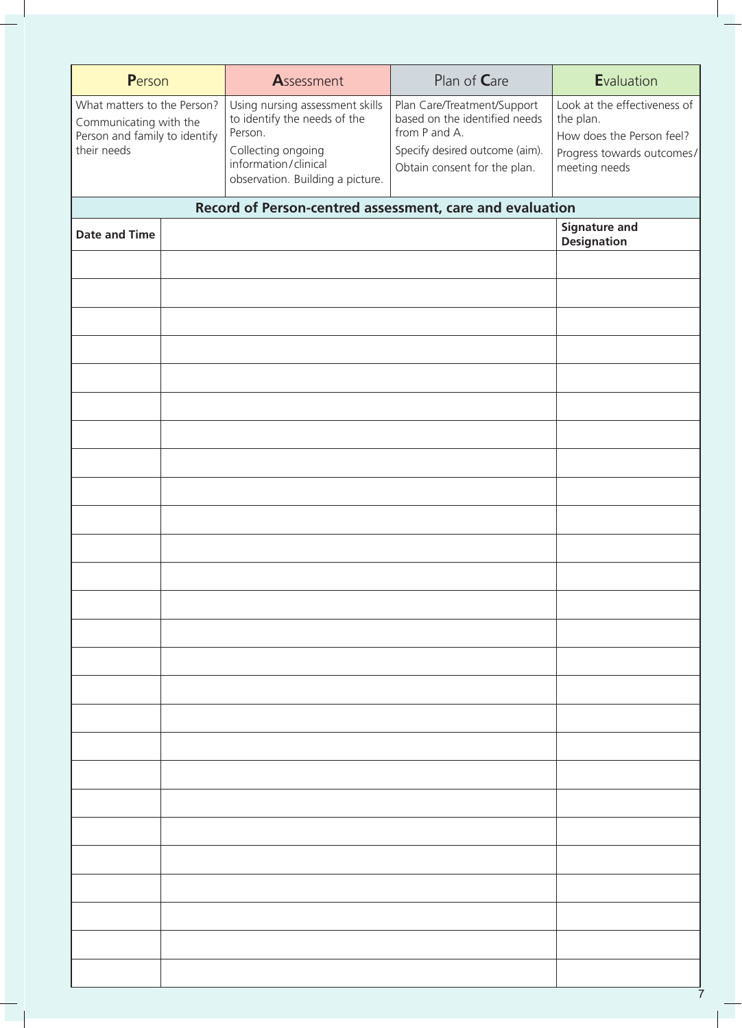| Person                                                                                                | Assessment                                                                                                                                                   | Plan of Care                                                                                                                                    | Evaluation                                                                                                            |
|-------------------------------------------------------------------------------------------------------|--------------------------------------------------------------------------------------------------------------------------------------------------------------|-------------------------------------------------------------------------------------------------------------------------------------------------|-----------------------------------------------------------------------------------------------------------------------|
| What matters to the Person?<br>Communicating with the<br>Person and family to identify<br>their needs | Using nursing assessment skills<br>to identify the needs of the<br>Person.<br>Collecting ongoing<br>information/clinical<br>observation. Building a picture. | Plan Care/Treatment/Support<br>based on the identified needs<br>from P and A.<br>Specify desired outcome (aim).<br>Obtain consent for the plan. | Look at the effectiveness of<br>the plan.<br>How does the Person feel?<br>Progress towards outcomes/<br>meeting needs |
|                                                                                                       | Record of Person-centred assessment, care and evaluation                                                                                                     |                                                                                                                                                 |                                                                                                                       |
| <b>Date and Time</b>                                                                                  |                                                                                                                                                              |                                                                                                                                                 | <b>Signature and</b>                                                                                                  |
|                                                                                                       |                                                                                                                                                              |                                                                                                                                                 | <b>Designation</b>                                                                                                    |
|                                                                                                       |                                                                                                                                                              |                                                                                                                                                 |                                                                                                                       |
|                                                                                                       |                                                                                                                                                              |                                                                                                                                                 |                                                                                                                       |
|                                                                                                       |                                                                                                                                                              |                                                                                                                                                 |                                                                                                                       |
|                                                                                                       |                                                                                                                                                              |                                                                                                                                                 |                                                                                                                       |
|                                                                                                       |                                                                                                                                                              |                                                                                                                                                 |                                                                                                                       |
|                                                                                                       |                                                                                                                                                              |                                                                                                                                                 |                                                                                                                       |
|                                                                                                       |                                                                                                                                                              |                                                                                                                                                 |                                                                                                                       |
|                                                                                                       |                                                                                                                                                              |                                                                                                                                                 |                                                                                                                       |
|                                                                                                       |                                                                                                                                                              |                                                                                                                                                 |                                                                                                                       |
|                                                                                                       |                                                                                                                                                              |                                                                                                                                                 |                                                                                                                       |
|                                                                                                       |                                                                                                                                                              |                                                                                                                                                 |                                                                                                                       |
|                                                                                                       |                                                                                                                                                              |                                                                                                                                                 |                                                                                                                       |
|                                                                                                       |                                                                                                                                                              |                                                                                                                                                 |                                                                                                                       |
|                                                                                                       |                                                                                                                                                              |                                                                                                                                                 |                                                                                                                       |
|                                                                                                       |                                                                                                                                                              |                                                                                                                                                 |                                                                                                                       |
|                                                                                                       |                                                                                                                                                              |                                                                                                                                                 |                                                                                                                       |
|                                                                                                       |                                                                                                                                                              |                                                                                                                                                 |                                                                                                                       |
|                                                                                                       |                                                                                                                                                              |                                                                                                                                                 |                                                                                                                       |
|                                                                                                       |                                                                                                                                                              |                                                                                                                                                 |                                                                                                                       |
|                                                                                                       |                                                                                                                                                              |                                                                                                                                                 |                                                                                                                       |
|                                                                                                       |                                                                                                                                                              |                                                                                                                                                 |                                                                                                                       |
|                                                                                                       |                                                                                                                                                              |                                                                                                                                                 |                                                                                                                       |
|                                                                                                       |                                                                                                                                                              |                                                                                                                                                 |                                                                                                                       |
|                                                                                                       |                                                                                                                                                              |                                                                                                                                                 |                                                                                                                       |
|                                                                                                       |                                                                                                                                                              |                                                                                                                                                 |                                                                                                                       |
|                                                                                                       |                                                                                                                                                              |                                                                                                                                                 |                                                                                                                       |
|                                                                                                       |                                                                                                                                                              |                                                                                                                                                 |                                                                                                                       |

7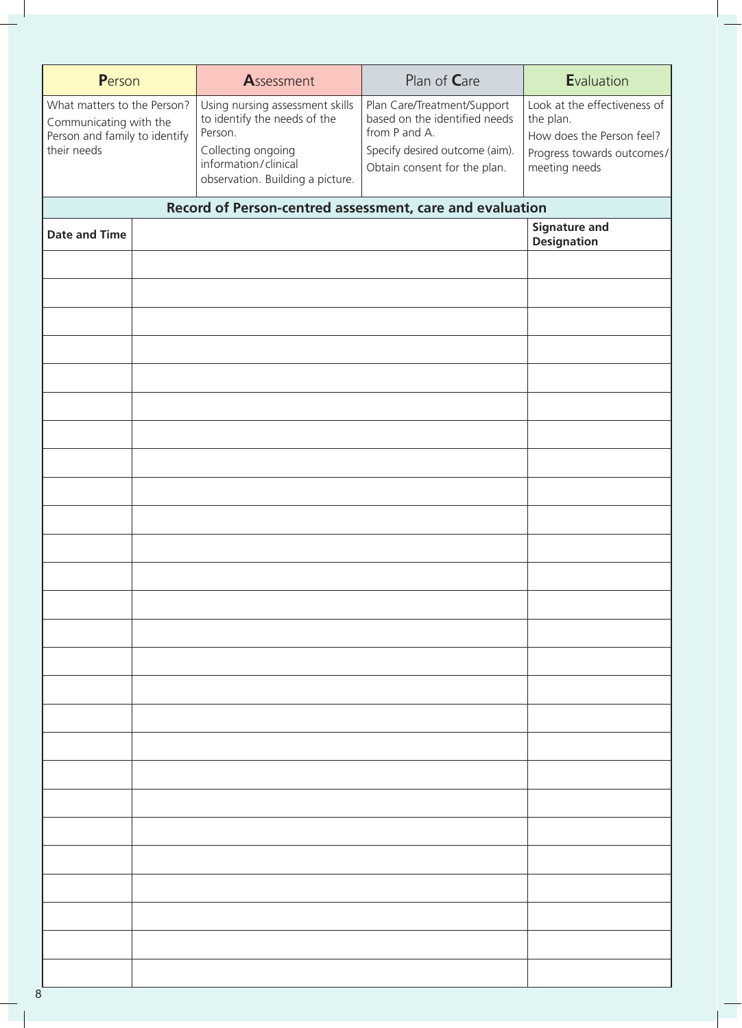| Person                                                                                                | Assessment                                                                                                                                                   | Plan of Care                                                                                                                                    | Evaluation                                                                                                            |
|-------------------------------------------------------------------------------------------------------|--------------------------------------------------------------------------------------------------------------------------------------------------------------|-------------------------------------------------------------------------------------------------------------------------------------------------|-----------------------------------------------------------------------------------------------------------------------|
| What matters to the Person?<br>Communicating with the<br>Person and family to identify<br>their needs | Using nursing assessment skills<br>to identify the needs of the<br>Person.<br>Collecting ongoing<br>information/clinical<br>observation. Building a picture. | Plan Care/Treatment/Support<br>based on the identified needs<br>from P and A.<br>Specify desired outcome (aim).<br>Obtain consent for the plan. | Look at the effectiveness of<br>the plan.<br>How does the Person feel?<br>Progress towards outcomes/<br>meeting needs |
|                                                                                                       | Record of Person-centred assessment, care and evaluation                                                                                                     |                                                                                                                                                 |                                                                                                                       |
| <b>Date and Time</b>                                                                                  |                                                                                                                                                              |                                                                                                                                                 | <b>Signature and</b><br><b>Designation</b>                                                                            |
|                                                                                                       |                                                                                                                                                              |                                                                                                                                                 |                                                                                                                       |
|                                                                                                       |                                                                                                                                                              |                                                                                                                                                 |                                                                                                                       |
|                                                                                                       |                                                                                                                                                              |                                                                                                                                                 |                                                                                                                       |
|                                                                                                       |                                                                                                                                                              |                                                                                                                                                 |                                                                                                                       |
|                                                                                                       |                                                                                                                                                              |                                                                                                                                                 |                                                                                                                       |
|                                                                                                       |                                                                                                                                                              |                                                                                                                                                 |                                                                                                                       |
|                                                                                                       |                                                                                                                                                              |                                                                                                                                                 |                                                                                                                       |
|                                                                                                       |                                                                                                                                                              |                                                                                                                                                 |                                                                                                                       |
|                                                                                                       |                                                                                                                                                              |                                                                                                                                                 |                                                                                                                       |
|                                                                                                       |                                                                                                                                                              |                                                                                                                                                 |                                                                                                                       |
|                                                                                                       |                                                                                                                                                              |                                                                                                                                                 |                                                                                                                       |
|                                                                                                       |                                                                                                                                                              |                                                                                                                                                 |                                                                                                                       |
|                                                                                                       |                                                                                                                                                              |                                                                                                                                                 |                                                                                                                       |
|                                                                                                       |                                                                                                                                                              |                                                                                                                                                 |                                                                                                                       |
|                                                                                                       |                                                                                                                                                              |                                                                                                                                                 |                                                                                                                       |
|                                                                                                       |                                                                                                                                                              |                                                                                                                                                 |                                                                                                                       |
|                                                                                                       |                                                                                                                                                              |                                                                                                                                                 |                                                                                                                       |
|                                                                                                       |                                                                                                                                                              |                                                                                                                                                 |                                                                                                                       |
|                                                                                                       |                                                                                                                                                              |                                                                                                                                                 |                                                                                                                       |
|                                                                                                       |                                                                                                                                                              |                                                                                                                                                 |                                                                                                                       |
|                                                                                                       |                                                                                                                                                              |                                                                                                                                                 |                                                                                                                       |
|                                                                                                       |                                                                                                                                                              |                                                                                                                                                 |                                                                                                                       |
|                                                                                                       |                                                                                                                                                              |                                                                                                                                                 |                                                                                                                       |
|                                                                                                       |                                                                                                                                                              |                                                                                                                                                 |                                                                                                                       |
| 8                                                                                                     |                                                                                                                                                              |                                                                                                                                                 |                                                                                                                       |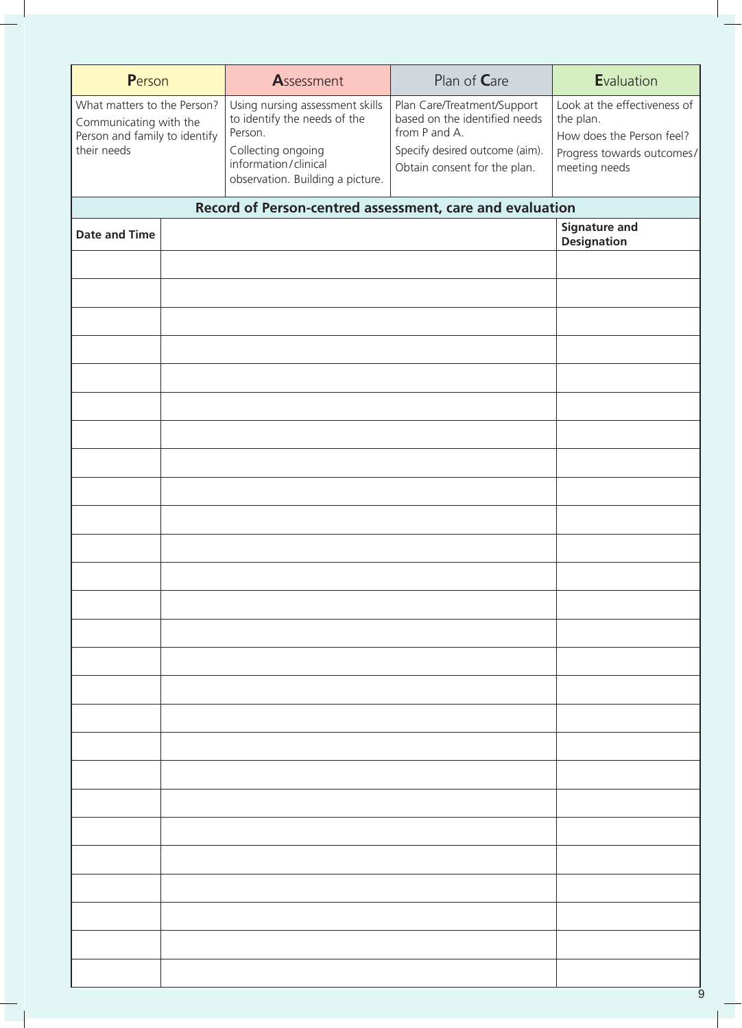| Person                                                                                                | Assessment                                                                                                                                                   | Plan of Care                                                                                                                                    | Evaluation                                                                                                            |
|-------------------------------------------------------------------------------------------------------|--------------------------------------------------------------------------------------------------------------------------------------------------------------|-------------------------------------------------------------------------------------------------------------------------------------------------|-----------------------------------------------------------------------------------------------------------------------|
| What matters to the Person?<br>Communicating with the<br>Person and family to identify<br>their needs | Using nursing assessment skills<br>to identify the needs of the<br>Person.<br>Collecting ongoing<br>information/clinical<br>observation. Building a picture. | Plan Care/Treatment/Support<br>based on the identified needs<br>from P and A.<br>Specify desired outcome (aim).<br>Obtain consent for the plan. | Look at the effectiveness of<br>the plan.<br>How does the Person feel?<br>Progress towards outcomes/<br>meeting needs |
|                                                                                                       | Record of Person-centred assessment, care and evaluation                                                                                                     |                                                                                                                                                 |                                                                                                                       |
| <b>Date and Time</b>                                                                                  |                                                                                                                                                              |                                                                                                                                                 | <b>Signature and</b>                                                                                                  |
|                                                                                                       |                                                                                                                                                              |                                                                                                                                                 | <b>Designation</b>                                                                                                    |
|                                                                                                       |                                                                                                                                                              |                                                                                                                                                 |                                                                                                                       |
|                                                                                                       |                                                                                                                                                              |                                                                                                                                                 |                                                                                                                       |
|                                                                                                       |                                                                                                                                                              |                                                                                                                                                 |                                                                                                                       |
|                                                                                                       |                                                                                                                                                              |                                                                                                                                                 |                                                                                                                       |
|                                                                                                       |                                                                                                                                                              |                                                                                                                                                 |                                                                                                                       |
|                                                                                                       |                                                                                                                                                              |                                                                                                                                                 |                                                                                                                       |
|                                                                                                       |                                                                                                                                                              |                                                                                                                                                 |                                                                                                                       |
|                                                                                                       |                                                                                                                                                              |                                                                                                                                                 |                                                                                                                       |
|                                                                                                       |                                                                                                                                                              |                                                                                                                                                 |                                                                                                                       |
|                                                                                                       |                                                                                                                                                              |                                                                                                                                                 |                                                                                                                       |
|                                                                                                       |                                                                                                                                                              |                                                                                                                                                 |                                                                                                                       |
|                                                                                                       |                                                                                                                                                              |                                                                                                                                                 |                                                                                                                       |
|                                                                                                       |                                                                                                                                                              |                                                                                                                                                 |                                                                                                                       |
|                                                                                                       |                                                                                                                                                              |                                                                                                                                                 |                                                                                                                       |
|                                                                                                       |                                                                                                                                                              |                                                                                                                                                 |                                                                                                                       |
|                                                                                                       |                                                                                                                                                              |                                                                                                                                                 |                                                                                                                       |
|                                                                                                       |                                                                                                                                                              |                                                                                                                                                 |                                                                                                                       |
|                                                                                                       |                                                                                                                                                              |                                                                                                                                                 |                                                                                                                       |
|                                                                                                       |                                                                                                                                                              |                                                                                                                                                 |                                                                                                                       |
|                                                                                                       |                                                                                                                                                              |                                                                                                                                                 |                                                                                                                       |
|                                                                                                       |                                                                                                                                                              |                                                                                                                                                 |                                                                                                                       |
|                                                                                                       |                                                                                                                                                              |                                                                                                                                                 |                                                                                                                       |
|                                                                                                       |                                                                                                                                                              |                                                                                                                                                 |                                                                                                                       |
|                                                                                                       |                                                                                                                                                              |                                                                                                                                                 |                                                                                                                       |
|                                                                                                       |                                                                                                                                                              |                                                                                                                                                 |                                                                                                                       |
|                                                                                                       |                                                                                                                                                              |                                                                                                                                                 |                                                                                                                       |
|                                                                                                       |                                                                                                                                                              |                                                                                                                                                 |                                                                                                                       |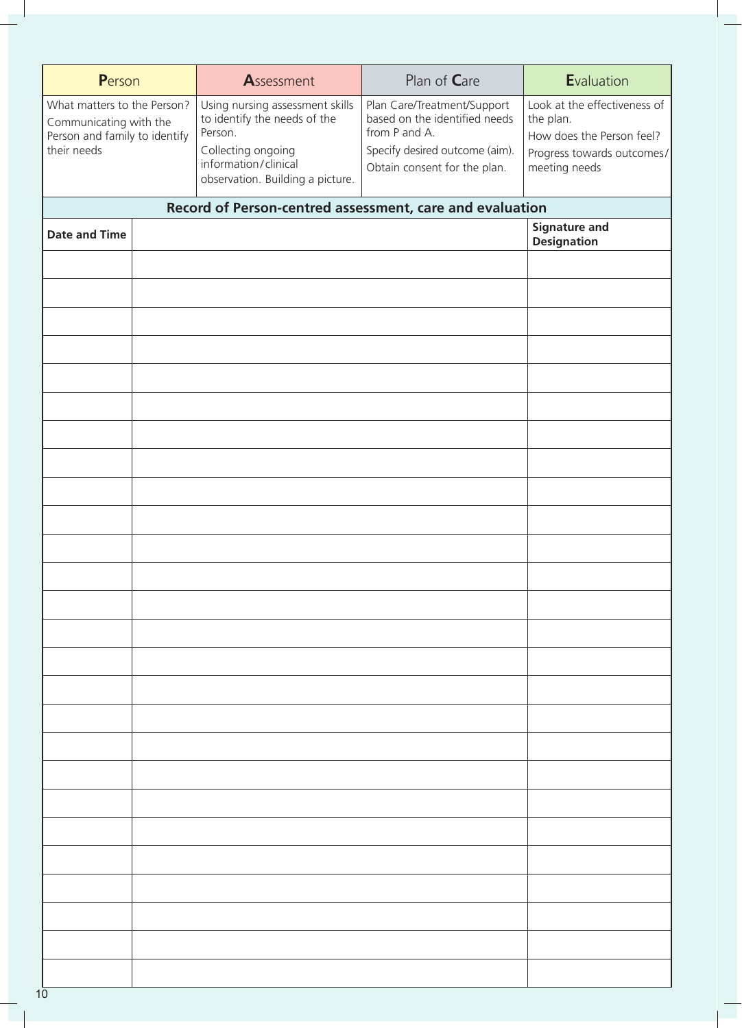| Person                                                                                                | Assessment                                                                                                                                                   | Plan of Care                                                                                                                                    | Evaluation                                                                                                            |
|-------------------------------------------------------------------------------------------------------|--------------------------------------------------------------------------------------------------------------------------------------------------------------|-------------------------------------------------------------------------------------------------------------------------------------------------|-----------------------------------------------------------------------------------------------------------------------|
| What matters to the Person?<br>Communicating with the<br>Person and family to identify<br>their needs | Using nursing assessment skills<br>to identify the needs of the<br>Person.<br>Collecting ongoing<br>information/clinical<br>observation. Building a picture. | Plan Care/Treatment/Support<br>based on the identified needs<br>from P and A.<br>Specify desired outcome (aim).<br>Obtain consent for the plan. | Look at the effectiveness of<br>the plan.<br>How does the Person feel?<br>Progress towards outcomes/<br>meeting needs |
|                                                                                                       | Record of Person-centred assessment, care and evaluation                                                                                                     |                                                                                                                                                 |                                                                                                                       |
| <b>Date and Time</b>                                                                                  |                                                                                                                                                              |                                                                                                                                                 | <b>Signature and</b><br><b>Designation</b>                                                                            |
|                                                                                                       |                                                                                                                                                              |                                                                                                                                                 |                                                                                                                       |
|                                                                                                       |                                                                                                                                                              |                                                                                                                                                 |                                                                                                                       |
|                                                                                                       |                                                                                                                                                              |                                                                                                                                                 |                                                                                                                       |
|                                                                                                       |                                                                                                                                                              |                                                                                                                                                 |                                                                                                                       |
|                                                                                                       |                                                                                                                                                              |                                                                                                                                                 |                                                                                                                       |
|                                                                                                       |                                                                                                                                                              |                                                                                                                                                 |                                                                                                                       |
|                                                                                                       |                                                                                                                                                              |                                                                                                                                                 |                                                                                                                       |
|                                                                                                       |                                                                                                                                                              |                                                                                                                                                 |                                                                                                                       |
|                                                                                                       |                                                                                                                                                              |                                                                                                                                                 |                                                                                                                       |
|                                                                                                       |                                                                                                                                                              |                                                                                                                                                 |                                                                                                                       |
|                                                                                                       |                                                                                                                                                              |                                                                                                                                                 |                                                                                                                       |
|                                                                                                       |                                                                                                                                                              |                                                                                                                                                 |                                                                                                                       |
|                                                                                                       |                                                                                                                                                              |                                                                                                                                                 |                                                                                                                       |
|                                                                                                       |                                                                                                                                                              |                                                                                                                                                 |                                                                                                                       |
|                                                                                                       |                                                                                                                                                              |                                                                                                                                                 |                                                                                                                       |
|                                                                                                       |                                                                                                                                                              |                                                                                                                                                 |                                                                                                                       |
|                                                                                                       |                                                                                                                                                              |                                                                                                                                                 |                                                                                                                       |
|                                                                                                       |                                                                                                                                                              |                                                                                                                                                 |                                                                                                                       |
|                                                                                                       |                                                                                                                                                              |                                                                                                                                                 |                                                                                                                       |
|                                                                                                       |                                                                                                                                                              |                                                                                                                                                 |                                                                                                                       |
|                                                                                                       |                                                                                                                                                              |                                                                                                                                                 |                                                                                                                       |
|                                                                                                       |                                                                                                                                                              |                                                                                                                                                 |                                                                                                                       |
|                                                                                                       |                                                                                                                                                              |                                                                                                                                                 |                                                                                                                       |
|                                                                                                       |                                                                                                                                                              |                                                                                                                                                 |                                                                                                                       |
|                                                                                                       |                                                                                                                                                              |                                                                                                                                                 |                                                                                                                       |
|                                                                                                       |                                                                                                                                                              |                                                                                                                                                 |                                                                                                                       |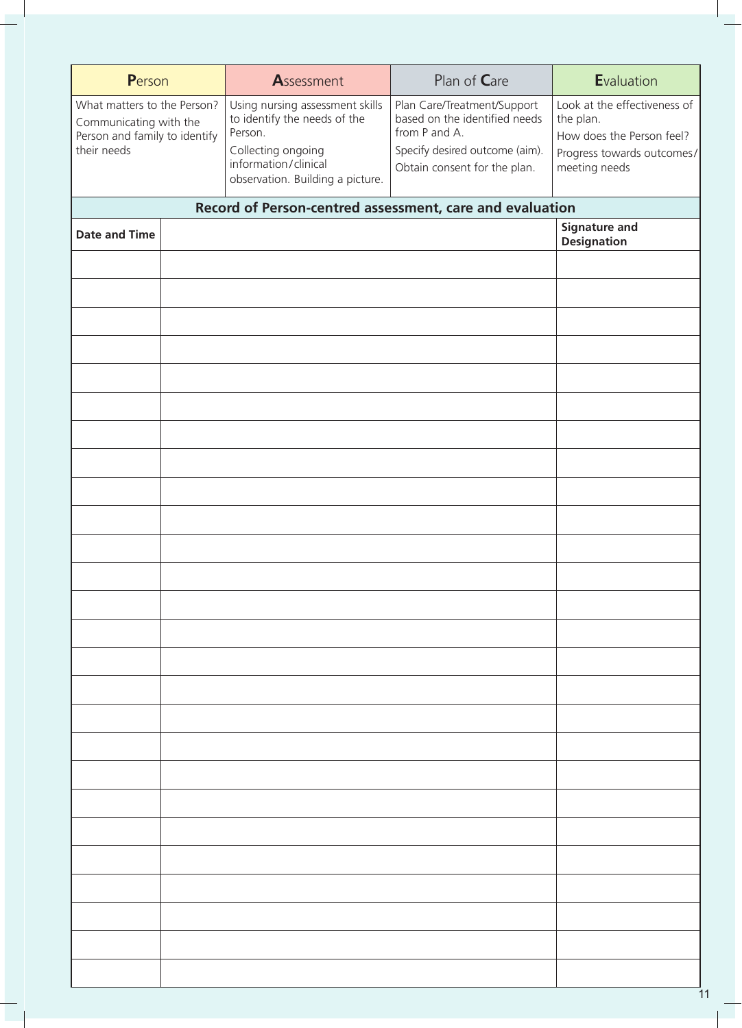| Person                                                                                                | Assessment                                                                                                                                                   | Plan of Care                                                                                                                                    | Evaluation                                                                                                            |
|-------------------------------------------------------------------------------------------------------|--------------------------------------------------------------------------------------------------------------------------------------------------------------|-------------------------------------------------------------------------------------------------------------------------------------------------|-----------------------------------------------------------------------------------------------------------------------|
|                                                                                                       |                                                                                                                                                              |                                                                                                                                                 |                                                                                                                       |
| What matters to the Person?<br>Communicating with the<br>Person and family to identify<br>their needs | Using nursing assessment skills<br>to identify the needs of the<br>Person.<br>Collecting ongoing<br>information/clinical<br>observation. Building a picture. | Plan Care/Treatment/Support<br>based on the identified needs<br>from P and A.<br>Specify desired outcome (aim).<br>Obtain consent for the plan. | Look at the effectiveness of<br>the plan.<br>How does the Person feel?<br>Progress towards outcomes/<br>meeting needs |
|                                                                                                       |                                                                                                                                                              |                                                                                                                                                 |                                                                                                                       |
|                                                                                                       | Record of Person-centred assessment, care and evaluation                                                                                                     |                                                                                                                                                 | <b>Signature and</b>                                                                                                  |
| <b>Date and Time</b>                                                                                  |                                                                                                                                                              |                                                                                                                                                 | <b>Designation</b>                                                                                                    |
|                                                                                                       |                                                                                                                                                              |                                                                                                                                                 |                                                                                                                       |
|                                                                                                       |                                                                                                                                                              |                                                                                                                                                 |                                                                                                                       |
|                                                                                                       |                                                                                                                                                              |                                                                                                                                                 |                                                                                                                       |
|                                                                                                       |                                                                                                                                                              |                                                                                                                                                 |                                                                                                                       |
|                                                                                                       |                                                                                                                                                              |                                                                                                                                                 |                                                                                                                       |
|                                                                                                       |                                                                                                                                                              |                                                                                                                                                 |                                                                                                                       |
|                                                                                                       |                                                                                                                                                              |                                                                                                                                                 |                                                                                                                       |
|                                                                                                       |                                                                                                                                                              |                                                                                                                                                 |                                                                                                                       |
|                                                                                                       |                                                                                                                                                              |                                                                                                                                                 |                                                                                                                       |
|                                                                                                       |                                                                                                                                                              |                                                                                                                                                 |                                                                                                                       |
|                                                                                                       |                                                                                                                                                              |                                                                                                                                                 |                                                                                                                       |
|                                                                                                       |                                                                                                                                                              |                                                                                                                                                 |                                                                                                                       |
|                                                                                                       |                                                                                                                                                              |                                                                                                                                                 |                                                                                                                       |
|                                                                                                       |                                                                                                                                                              |                                                                                                                                                 |                                                                                                                       |
|                                                                                                       |                                                                                                                                                              |                                                                                                                                                 |                                                                                                                       |
|                                                                                                       |                                                                                                                                                              |                                                                                                                                                 |                                                                                                                       |
|                                                                                                       |                                                                                                                                                              |                                                                                                                                                 |                                                                                                                       |
|                                                                                                       |                                                                                                                                                              |                                                                                                                                                 |                                                                                                                       |
|                                                                                                       |                                                                                                                                                              |                                                                                                                                                 |                                                                                                                       |
|                                                                                                       |                                                                                                                                                              |                                                                                                                                                 |                                                                                                                       |
|                                                                                                       |                                                                                                                                                              |                                                                                                                                                 |                                                                                                                       |
|                                                                                                       |                                                                                                                                                              |                                                                                                                                                 |                                                                                                                       |
|                                                                                                       |                                                                                                                                                              |                                                                                                                                                 |                                                                                                                       |
|                                                                                                       |                                                                                                                                                              |                                                                                                                                                 |                                                                                                                       |
|                                                                                                       |                                                                                                                                                              |                                                                                                                                                 |                                                                                                                       |
|                                                                                                       |                                                                                                                                                              |                                                                                                                                                 |                                                                                                                       |
|                                                                                                       |                                                                                                                                                              |                                                                                                                                                 |                                                                                                                       |
|                                                                                                       |                                                                                                                                                              |                                                                                                                                                 |                                                                                                                       |
|                                                                                                       |                                                                                                                                                              |                                                                                                                                                 |                                                                                                                       |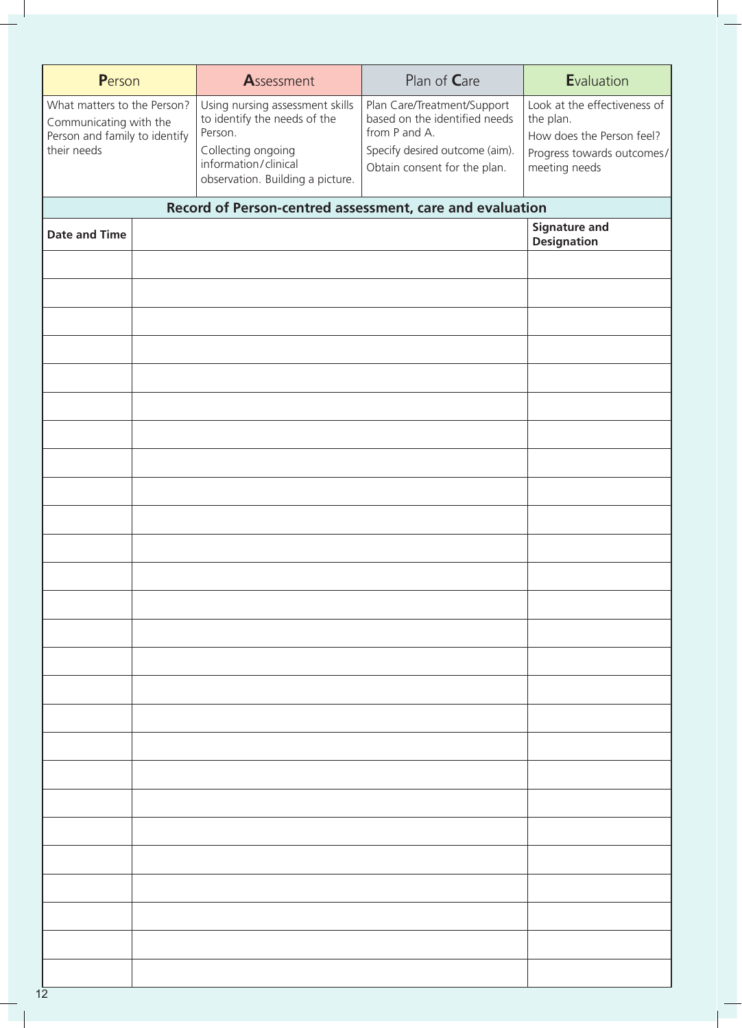| Person                                                                                                | Assessment                                                                                                                                                   | Plan of Care                                                                                                                                    | Evaluation                                                                                                            |
|-------------------------------------------------------------------------------------------------------|--------------------------------------------------------------------------------------------------------------------------------------------------------------|-------------------------------------------------------------------------------------------------------------------------------------------------|-----------------------------------------------------------------------------------------------------------------------|
| What matters to the Person?<br>Communicating with the<br>Person and family to identify<br>their needs | Using nursing assessment skills<br>to identify the needs of the<br>Person.<br>Collecting ongoing<br>information/clinical<br>observation. Building a picture. | Plan Care/Treatment/Support<br>based on the identified needs<br>from P and A.<br>Specify desired outcome (aim).<br>Obtain consent for the plan. | Look at the effectiveness of<br>the plan.<br>How does the Person feel?<br>Progress towards outcomes/<br>meeting needs |
|                                                                                                       | Record of Person-centred assessment, care and evaluation                                                                                                     |                                                                                                                                                 |                                                                                                                       |
| <b>Date and Time</b>                                                                                  |                                                                                                                                                              |                                                                                                                                                 | <b>Signature and</b><br><b>Designation</b>                                                                            |
|                                                                                                       |                                                                                                                                                              |                                                                                                                                                 |                                                                                                                       |
|                                                                                                       |                                                                                                                                                              |                                                                                                                                                 |                                                                                                                       |
|                                                                                                       |                                                                                                                                                              |                                                                                                                                                 |                                                                                                                       |
|                                                                                                       |                                                                                                                                                              |                                                                                                                                                 |                                                                                                                       |
|                                                                                                       |                                                                                                                                                              |                                                                                                                                                 |                                                                                                                       |
|                                                                                                       |                                                                                                                                                              |                                                                                                                                                 |                                                                                                                       |
|                                                                                                       |                                                                                                                                                              |                                                                                                                                                 |                                                                                                                       |
|                                                                                                       |                                                                                                                                                              |                                                                                                                                                 |                                                                                                                       |
|                                                                                                       |                                                                                                                                                              |                                                                                                                                                 |                                                                                                                       |
|                                                                                                       |                                                                                                                                                              |                                                                                                                                                 |                                                                                                                       |
|                                                                                                       |                                                                                                                                                              |                                                                                                                                                 |                                                                                                                       |
|                                                                                                       |                                                                                                                                                              |                                                                                                                                                 |                                                                                                                       |
|                                                                                                       |                                                                                                                                                              |                                                                                                                                                 |                                                                                                                       |
|                                                                                                       |                                                                                                                                                              |                                                                                                                                                 |                                                                                                                       |
|                                                                                                       |                                                                                                                                                              |                                                                                                                                                 |                                                                                                                       |
|                                                                                                       |                                                                                                                                                              |                                                                                                                                                 |                                                                                                                       |
|                                                                                                       |                                                                                                                                                              |                                                                                                                                                 |                                                                                                                       |
|                                                                                                       |                                                                                                                                                              |                                                                                                                                                 |                                                                                                                       |
|                                                                                                       |                                                                                                                                                              |                                                                                                                                                 |                                                                                                                       |
|                                                                                                       |                                                                                                                                                              |                                                                                                                                                 |                                                                                                                       |
|                                                                                                       |                                                                                                                                                              |                                                                                                                                                 |                                                                                                                       |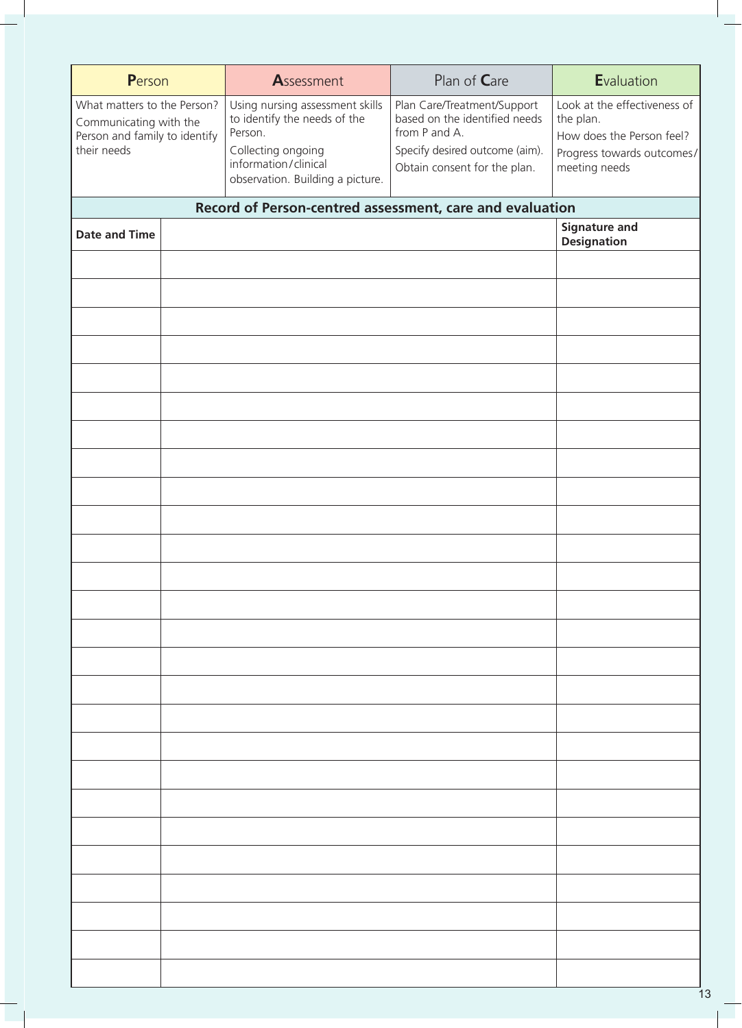| Person                                                                                                | Assessment                                                                                                                                                   | Plan of Care                                                                                                                                    | Evaluation                                                                                                            |
|-------------------------------------------------------------------------------------------------------|--------------------------------------------------------------------------------------------------------------------------------------------------------------|-------------------------------------------------------------------------------------------------------------------------------------------------|-----------------------------------------------------------------------------------------------------------------------|
| What matters to the Person?<br>Communicating with the<br>Person and family to identify<br>their needs | Using nursing assessment skills<br>to identify the needs of the<br>Person.<br>Collecting ongoing<br>information/clinical<br>observation. Building a picture. | Plan Care/Treatment/Support<br>based on the identified needs<br>from P and A.<br>Specify desired outcome (aim).<br>Obtain consent for the plan. | Look at the effectiveness of<br>the plan.<br>How does the Person feel?<br>Progress towards outcomes/<br>meeting needs |
|                                                                                                       | Record of Person-centred assessment, care and evaluation                                                                                                     |                                                                                                                                                 |                                                                                                                       |
| <b>Date and Time</b>                                                                                  |                                                                                                                                                              |                                                                                                                                                 | <b>Signature and</b><br><b>Designation</b>                                                                            |
|                                                                                                       |                                                                                                                                                              |                                                                                                                                                 |                                                                                                                       |
|                                                                                                       |                                                                                                                                                              |                                                                                                                                                 |                                                                                                                       |
|                                                                                                       |                                                                                                                                                              |                                                                                                                                                 |                                                                                                                       |
|                                                                                                       |                                                                                                                                                              |                                                                                                                                                 |                                                                                                                       |
|                                                                                                       |                                                                                                                                                              |                                                                                                                                                 |                                                                                                                       |
|                                                                                                       |                                                                                                                                                              |                                                                                                                                                 |                                                                                                                       |
|                                                                                                       |                                                                                                                                                              |                                                                                                                                                 |                                                                                                                       |
|                                                                                                       |                                                                                                                                                              |                                                                                                                                                 |                                                                                                                       |
|                                                                                                       |                                                                                                                                                              |                                                                                                                                                 |                                                                                                                       |
|                                                                                                       |                                                                                                                                                              |                                                                                                                                                 |                                                                                                                       |
|                                                                                                       |                                                                                                                                                              |                                                                                                                                                 |                                                                                                                       |
|                                                                                                       |                                                                                                                                                              |                                                                                                                                                 |                                                                                                                       |
|                                                                                                       |                                                                                                                                                              |                                                                                                                                                 |                                                                                                                       |
|                                                                                                       |                                                                                                                                                              |                                                                                                                                                 |                                                                                                                       |
|                                                                                                       |                                                                                                                                                              |                                                                                                                                                 |                                                                                                                       |
|                                                                                                       |                                                                                                                                                              |                                                                                                                                                 |                                                                                                                       |
|                                                                                                       |                                                                                                                                                              |                                                                                                                                                 |                                                                                                                       |
|                                                                                                       |                                                                                                                                                              |                                                                                                                                                 |                                                                                                                       |
|                                                                                                       |                                                                                                                                                              |                                                                                                                                                 |                                                                                                                       |
|                                                                                                       |                                                                                                                                                              |                                                                                                                                                 |                                                                                                                       |
|                                                                                                       |                                                                                                                                                              |                                                                                                                                                 |                                                                                                                       |
|                                                                                                       |                                                                                                                                                              |                                                                                                                                                 |                                                                                                                       |
|                                                                                                       |                                                                                                                                                              |                                                                                                                                                 |                                                                                                                       |
|                                                                                                       |                                                                                                                                                              |                                                                                                                                                 |                                                                                                                       |
|                                                                                                       |                                                                                                                                                              |                                                                                                                                                 |                                                                                                                       |
|                                                                                                       |                                                                                                                                                              |                                                                                                                                                 |                                                                                                                       |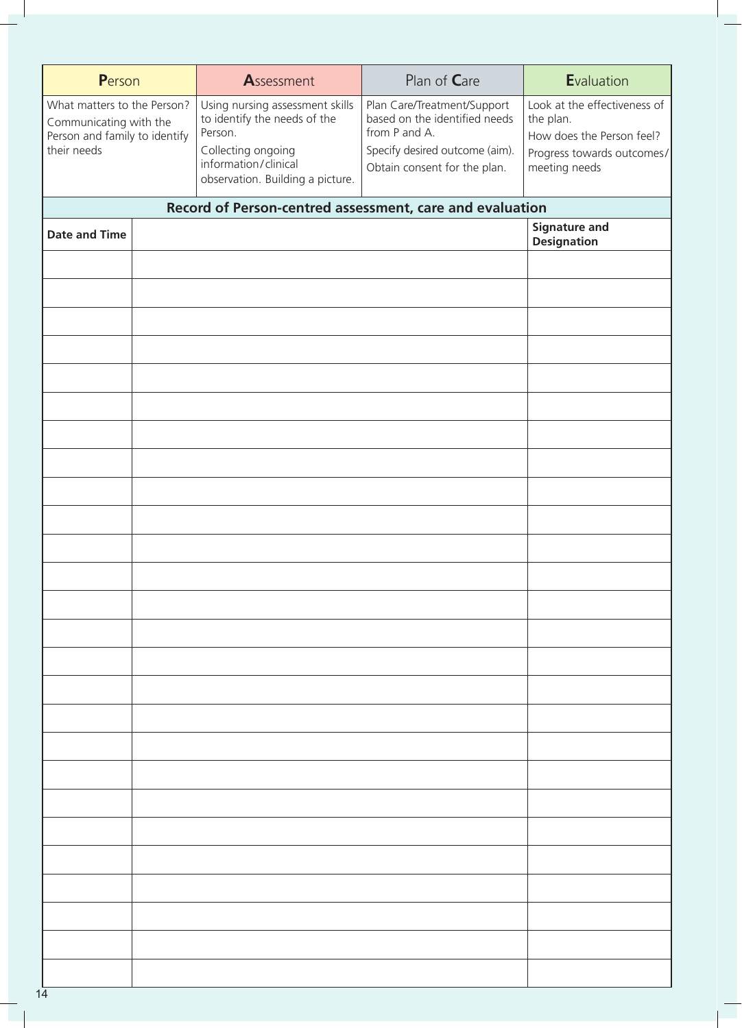| Person                                                                                                | Assessment                                                                                                                                                   | Plan of Care                                                                                                                                    | Evaluation                                                                                                            |
|-------------------------------------------------------------------------------------------------------|--------------------------------------------------------------------------------------------------------------------------------------------------------------|-------------------------------------------------------------------------------------------------------------------------------------------------|-----------------------------------------------------------------------------------------------------------------------|
| What matters to the Person?<br>Communicating with the<br>Person and family to identify<br>their needs | Using nursing assessment skills<br>to identify the needs of the<br>Person.<br>Collecting ongoing<br>information/clinical<br>observation. Building a picture. | Plan Care/Treatment/Support<br>based on the identified needs<br>from P and A.<br>Specify desired outcome (aim).<br>Obtain consent for the plan. | Look at the effectiveness of<br>the plan.<br>How does the Person feel?<br>Progress towards outcomes/<br>meeting needs |
|                                                                                                       | Record of Person-centred assessment, care and evaluation                                                                                                     |                                                                                                                                                 |                                                                                                                       |
| <b>Date and Time</b>                                                                                  |                                                                                                                                                              |                                                                                                                                                 | <b>Signature and</b><br><b>Designation</b>                                                                            |
|                                                                                                       |                                                                                                                                                              |                                                                                                                                                 |                                                                                                                       |
|                                                                                                       |                                                                                                                                                              |                                                                                                                                                 |                                                                                                                       |
|                                                                                                       |                                                                                                                                                              |                                                                                                                                                 |                                                                                                                       |
|                                                                                                       |                                                                                                                                                              |                                                                                                                                                 |                                                                                                                       |
|                                                                                                       |                                                                                                                                                              |                                                                                                                                                 |                                                                                                                       |
|                                                                                                       |                                                                                                                                                              |                                                                                                                                                 |                                                                                                                       |
|                                                                                                       |                                                                                                                                                              |                                                                                                                                                 |                                                                                                                       |
|                                                                                                       |                                                                                                                                                              |                                                                                                                                                 |                                                                                                                       |
|                                                                                                       |                                                                                                                                                              |                                                                                                                                                 |                                                                                                                       |
|                                                                                                       |                                                                                                                                                              |                                                                                                                                                 |                                                                                                                       |
|                                                                                                       |                                                                                                                                                              |                                                                                                                                                 |                                                                                                                       |
|                                                                                                       |                                                                                                                                                              |                                                                                                                                                 |                                                                                                                       |
|                                                                                                       |                                                                                                                                                              |                                                                                                                                                 |                                                                                                                       |
|                                                                                                       |                                                                                                                                                              |                                                                                                                                                 |                                                                                                                       |
|                                                                                                       |                                                                                                                                                              |                                                                                                                                                 |                                                                                                                       |
|                                                                                                       |                                                                                                                                                              |                                                                                                                                                 |                                                                                                                       |
|                                                                                                       |                                                                                                                                                              |                                                                                                                                                 |                                                                                                                       |
|                                                                                                       |                                                                                                                                                              |                                                                                                                                                 |                                                                                                                       |
|                                                                                                       |                                                                                                                                                              |                                                                                                                                                 |                                                                                                                       |
|                                                                                                       |                                                                                                                                                              |                                                                                                                                                 |                                                                                                                       |
|                                                                                                       |                                                                                                                                                              |                                                                                                                                                 |                                                                                                                       |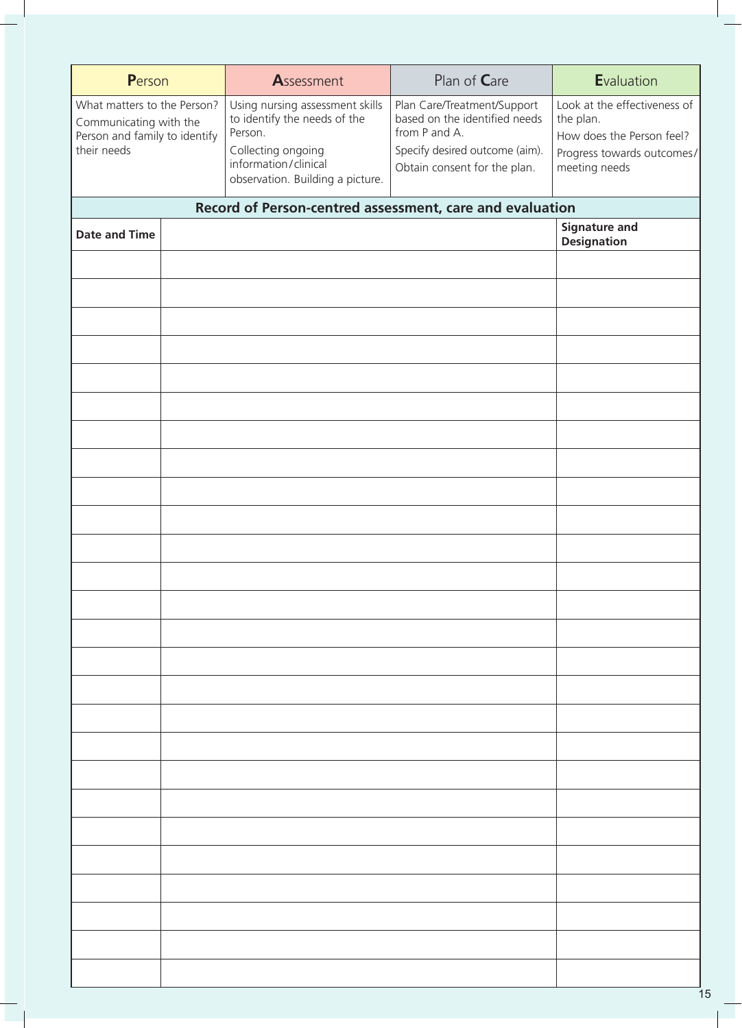| Person                                                                                                | Assessment                                                                                                                                                   | Plan of Care                                                                                                                                    | Evaluation                                                                                                            |
|-------------------------------------------------------------------------------------------------------|--------------------------------------------------------------------------------------------------------------------------------------------------------------|-------------------------------------------------------------------------------------------------------------------------------------------------|-----------------------------------------------------------------------------------------------------------------------|
| What matters to the Person?<br>Communicating with the<br>Person and family to identify<br>their needs | Using nursing assessment skills<br>to identify the needs of the<br>Person.<br>Collecting ongoing<br>information/clinical<br>observation. Building a picture. | Plan Care/Treatment/Support<br>based on the identified needs<br>from P and A.<br>Specify desired outcome (aim).<br>Obtain consent for the plan. | Look at the effectiveness of<br>the plan.<br>How does the Person feel?<br>Progress towards outcomes/<br>meeting needs |
|                                                                                                       | Record of Person-centred assessment, care and evaluation                                                                                                     |                                                                                                                                                 |                                                                                                                       |
| <b>Date and Time</b>                                                                                  |                                                                                                                                                              |                                                                                                                                                 | <b>Signature and</b><br><b>Designation</b>                                                                            |
|                                                                                                       |                                                                                                                                                              |                                                                                                                                                 |                                                                                                                       |
|                                                                                                       |                                                                                                                                                              |                                                                                                                                                 |                                                                                                                       |
|                                                                                                       |                                                                                                                                                              |                                                                                                                                                 |                                                                                                                       |
|                                                                                                       |                                                                                                                                                              |                                                                                                                                                 |                                                                                                                       |
|                                                                                                       |                                                                                                                                                              |                                                                                                                                                 |                                                                                                                       |
|                                                                                                       |                                                                                                                                                              |                                                                                                                                                 |                                                                                                                       |
|                                                                                                       |                                                                                                                                                              |                                                                                                                                                 |                                                                                                                       |
|                                                                                                       |                                                                                                                                                              |                                                                                                                                                 |                                                                                                                       |
|                                                                                                       |                                                                                                                                                              |                                                                                                                                                 |                                                                                                                       |
|                                                                                                       |                                                                                                                                                              |                                                                                                                                                 |                                                                                                                       |
|                                                                                                       |                                                                                                                                                              |                                                                                                                                                 |                                                                                                                       |
|                                                                                                       |                                                                                                                                                              |                                                                                                                                                 |                                                                                                                       |
|                                                                                                       |                                                                                                                                                              |                                                                                                                                                 |                                                                                                                       |
|                                                                                                       |                                                                                                                                                              |                                                                                                                                                 |                                                                                                                       |
|                                                                                                       |                                                                                                                                                              |                                                                                                                                                 |                                                                                                                       |
|                                                                                                       |                                                                                                                                                              |                                                                                                                                                 |                                                                                                                       |
|                                                                                                       |                                                                                                                                                              |                                                                                                                                                 |                                                                                                                       |
|                                                                                                       |                                                                                                                                                              |                                                                                                                                                 |                                                                                                                       |
|                                                                                                       |                                                                                                                                                              |                                                                                                                                                 |                                                                                                                       |
|                                                                                                       |                                                                                                                                                              |                                                                                                                                                 |                                                                                                                       |
|                                                                                                       |                                                                                                                                                              |                                                                                                                                                 |                                                                                                                       |
|                                                                                                       |                                                                                                                                                              |                                                                                                                                                 |                                                                                                                       |
|                                                                                                       |                                                                                                                                                              |                                                                                                                                                 |                                                                                                                       |
|                                                                                                       |                                                                                                                                                              |                                                                                                                                                 |                                                                                                                       |
|                                                                                                       |                                                                                                                                                              |                                                                                                                                                 |                                                                                                                       |
|                                                                                                       |                                                                                                                                                              |                                                                                                                                                 |                                                                                                                       |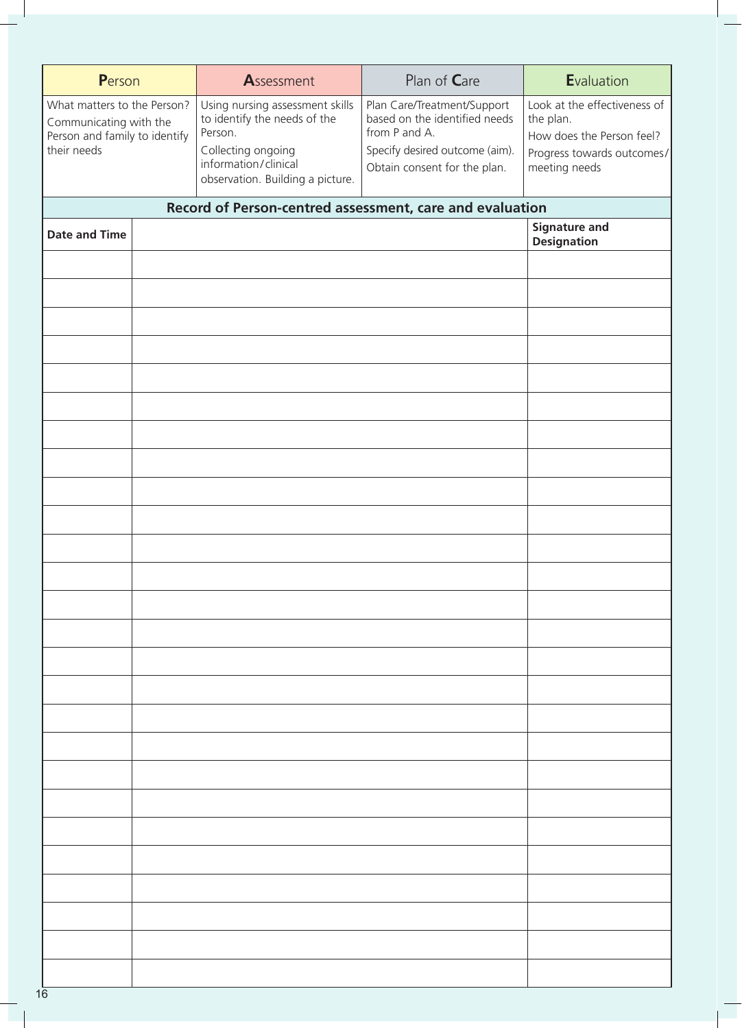| Person                                                                                                | Assessment                                                                                                                                                   | Plan of Care                                                                                                                                    | Evaluation                                                                                                            |
|-------------------------------------------------------------------------------------------------------|--------------------------------------------------------------------------------------------------------------------------------------------------------------|-------------------------------------------------------------------------------------------------------------------------------------------------|-----------------------------------------------------------------------------------------------------------------------|
| What matters to the Person?<br>Communicating with the<br>Person and family to identify<br>their needs | Using nursing assessment skills<br>to identify the needs of the<br>Person.<br>Collecting ongoing<br>information/clinical<br>observation. Building a picture. | Plan Care/Treatment/Support<br>based on the identified needs<br>from P and A.<br>Specify desired outcome (aim).<br>Obtain consent for the plan. | Look at the effectiveness of<br>the plan.<br>How does the Person feel?<br>Progress towards outcomes/<br>meeting needs |
|                                                                                                       | Record of Person-centred assessment, care and evaluation                                                                                                     |                                                                                                                                                 |                                                                                                                       |
| <b>Date and Time</b>                                                                                  |                                                                                                                                                              |                                                                                                                                                 | <b>Signature and</b><br><b>Designation</b>                                                                            |
|                                                                                                       |                                                                                                                                                              |                                                                                                                                                 |                                                                                                                       |
|                                                                                                       |                                                                                                                                                              |                                                                                                                                                 |                                                                                                                       |
|                                                                                                       |                                                                                                                                                              |                                                                                                                                                 |                                                                                                                       |
|                                                                                                       |                                                                                                                                                              |                                                                                                                                                 |                                                                                                                       |
|                                                                                                       |                                                                                                                                                              |                                                                                                                                                 |                                                                                                                       |
|                                                                                                       |                                                                                                                                                              |                                                                                                                                                 |                                                                                                                       |
|                                                                                                       |                                                                                                                                                              |                                                                                                                                                 |                                                                                                                       |
|                                                                                                       |                                                                                                                                                              |                                                                                                                                                 |                                                                                                                       |
|                                                                                                       |                                                                                                                                                              |                                                                                                                                                 |                                                                                                                       |
|                                                                                                       |                                                                                                                                                              |                                                                                                                                                 |                                                                                                                       |
|                                                                                                       |                                                                                                                                                              |                                                                                                                                                 |                                                                                                                       |
|                                                                                                       |                                                                                                                                                              |                                                                                                                                                 |                                                                                                                       |
|                                                                                                       |                                                                                                                                                              |                                                                                                                                                 |                                                                                                                       |
|                                                                                                       |                                                                                                                                                              |                                                                                                                                                 |                                                                                                                       |
|                                                                                                       |                                                                                                                                                              |                                                                                                                                                 |                                                                                                                       |
|                                                                                                       |                                                                                                                                                              |                                                                                                                                                 |                                                                                                                       |
|                                                                                                       |                                                                                                                                                              |                                                                                                                                                 |                                                                                                                       |
|                                                                                                       |                                                                                                                                                              |                                                                                                                                                 |                                                                                                                       |
|                                                                                                       |                                                                                                                                                              |                                                                                                                                                 |                                                                                                                       |
|                                                                                                       |                                                                                                                                                              |                                                                                                                                                 |                                                                                                                       |
|                                                                                                       |                                                                                                                                                              |                                                                                                                                                 |                                                                                                                       |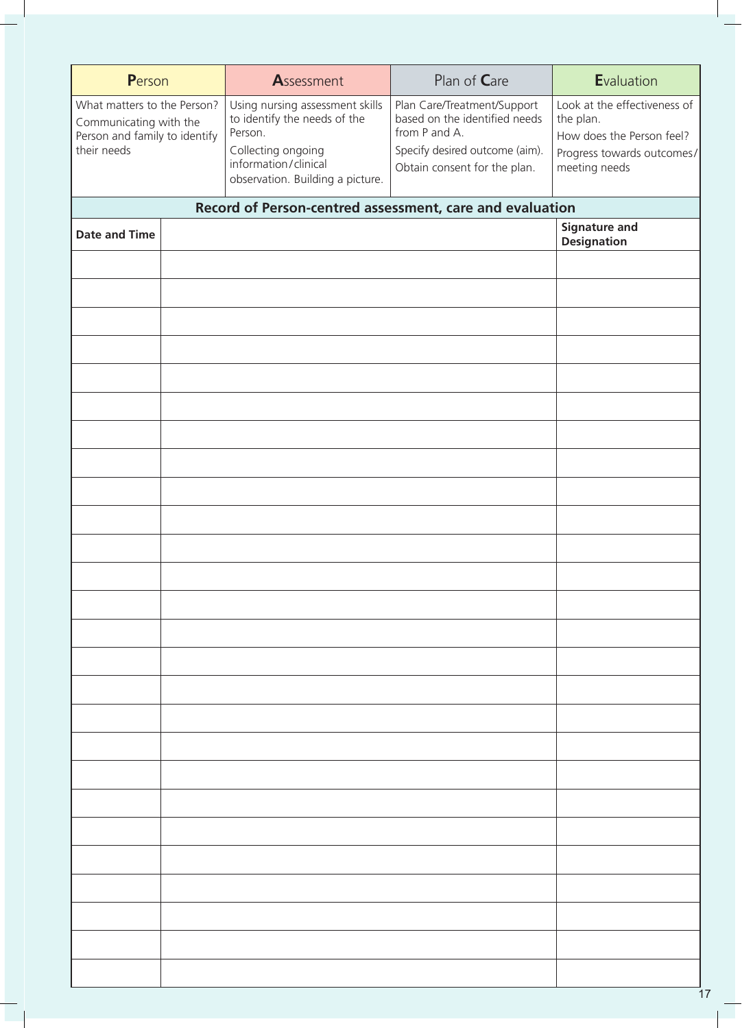| Person                                                                                                | Assessment                                                                                                                                                   | Plan of Care                                                                                                                                    | Evaluation                                                                                                            |
|-------------------------------------------------------------------------------------------------------|--------------------------------------------------------------------------------------------------------------------------------------------------------------|-------------------------------------------------------------------------------------------------------------------------------------------------|-----------------------------------------------------------------------------------------------------------------------|
| What matters to the Person?<br>Communicating with the<br>Person and family to identify<br>their needs | Using nursing assessment skills<br>to identify the needs of the<br>Person.<br>Collecting ongoing<br>information/clinical<br>observation. Building a picture. | Plan Care/Treatment/Support<br>based on the identified needs<br>from P and A.<br>Specify desired outcome (aim).<br>Obtain consent for the plan. | Look at the effectiveness of<br>the plan.<br>How does the Person feel?<br>Progress towards outcomes/<br>meeting needs |
|                                                                                                       | Record of Person-centred assessment, care and evaluation                                                                                                     |                                                                                                                                                 |                                                                                                                       |
| <b>Date and Time</b>                                                                                  |                                                                                                                                                              |                                                                                                                                                 | <b>Signature and</b><br><b>Designation</b>                                                                            |
|                                                                                                       |                                                                                                                                                              |                                                                                                                                                 |                                                                                                                       |
|                                                                                                       |                                                                                                                                                              |                                                                                                                                                 |                                                                                                                       |
|                                                                                                       |                                                                                                                                                              |                                                                                                                                                 |                                                                                                                       |
|                                                                                                       |                                                                                                                                                              |                                                                                                                                                 |                                                                                                                       |
|                                                                                                       |                                                                                                                                                              |                                                                                                                                                 |                                                                                                                       |
|                                                                                                       |                                                                                                                                                              |                                                                                                                                                 |                                                                                                                       |
|                                                                                                       |                                                                                                                                                              |                                                                                                                                                 |                                                                                                                       |
|                                                                                                       |                                                                                                                                                              |                                                                                                                                                 |                                                                                                                       |
|                                                                                                       |                                                                                                                                                              |                                                                                                                                                 |                                                                                                                       |
|                                                                                                       |                                                                                                                                                              |                                                                                                                                                 |                                                                                                                       |
|                                                                                                       |                                                                                                                                                              |                                                                                                                                                 |                                                                                                                       |
|                                                                                                       |                                                                                                                                                              |                                                                                                                                                 |                                                                                                                       |
|                                                                                                       |                                                                                                                                                              |                                                                                                                                                 |                                                                                                                       |
|                                                                                                       |                                                                                                                                                              |                                                                                                                                                 |                                                                                                                       |
|                                                                                                       |                                                                                                                                                              |                                                                                                                                                 |                                                                                                                       |
|                                                                                                       |                                                                                                                                                              |                                                                                                                                                 |                                                                                                                       |
|                                                                                                       |                                                                                                                                                              |                                                                                                                                                 |                                                                                                                       |
|                                                                                                       |                                                                                                                                                              |                                                                                                                                                 |                                                                                                                       |
|                                                                                                       |                                                                                                                                                              |                                                                                                                                                 |                                                                                                                       |
|                                                                                                       |                                                                                                                                                              |                                                                                                                                                 |                                                                                                                       |
|                                                                                                       |                                                                                                                                                              |                                                                                                                                                 |                                                                                                                       |
|                                                                                                       |                                                                                                                                                              |                                                                                                                                                 |                                                                                                                       |
|                                                                                                       |                                                                                                                                                              |                                                                                                                                                 |                                                                                                                       |
|                                                                                                       |                                                                                                                                                              |                                                                                                                                                 |                                                                                                                       |
|                                                                                                       |                                                                                                                                                              |                                                                                                                                                 |                                                                                                                       |
|                                                                                                       |                                                                                                                                                              |                                                                                                                                                 |                                                                                                                       |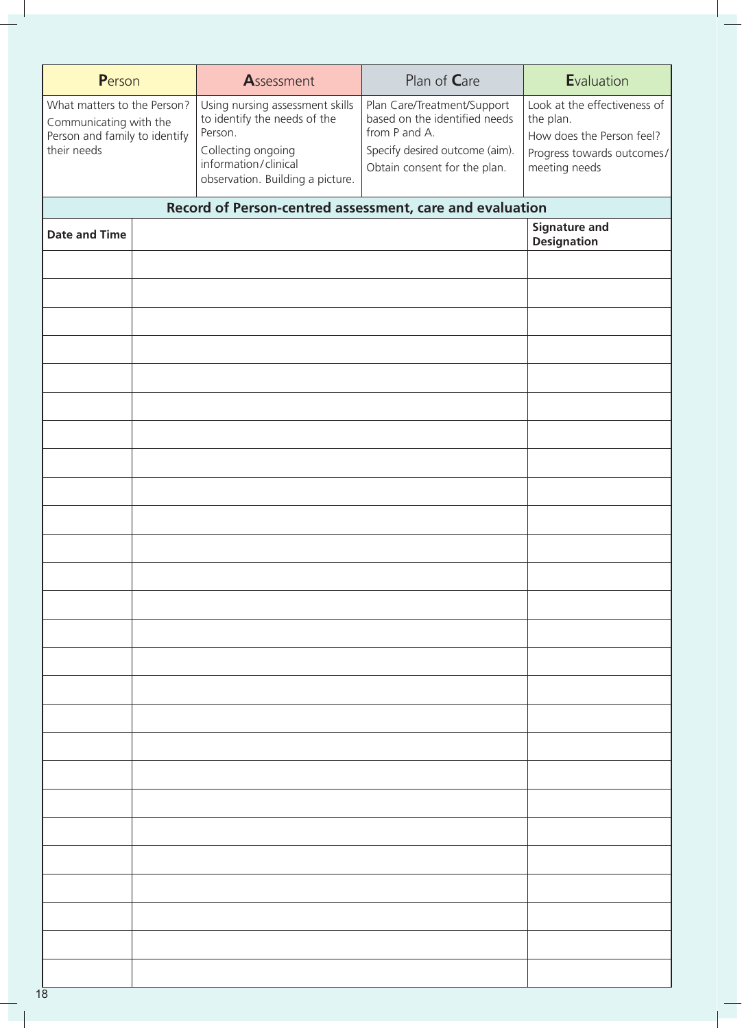| Person                                                                                                | Assessment                                                                                                                                                   | Plan of Care                                                                                                                                    | Evaluation                                                                                                            |
|-------------------------------------------------------------------------------------------------------|--------------------------------------------------------------------------------------------------------------------------------------------------------------|-------------------------------------------------------------------------------------------------------------------------------------------------|-----------------------------------------------------------------------------------------------------------------------|
| What matters to the Person?<br>Communicating with the<br>Person and family to identify<br>their needs | Using nursing assessment skills<br>to identify the needs of the<br>Person.<br>Collecting ongoing<br>information/clinical<br>observation. Building a picture. | Plan Care/Treatment/Support<br>based on the identified needs<br>from P and A.<br>Specify desired outcome (aim).<br>Obtain consent for the plan. | Look at the effectiveness of<br>the plan.<br>How does the Person feel?<br>Progress towards outcomes/<br>meeting needs |
|                                                                                                       | Record of Person-centred assessment, care and evaluation                                                                                                     |                                                                                                                                                 |                                                                                                                       |
| <b>Date and Time</b>                                                                                  |                                                                                                                                                              |                                                                                                                                                 | <b>Signature and</b><br><b>Designation</b>                                                                            |
|                                                                                                       |                                                                                                                                                              |                                                                                                                                                 |                                                                                                                       |
|                                                                                                       |                                                                                                                                                              |                                                                                                                                                 |                                                                                                                       |
|                                                                                                       |                                                                                                                                                              |                                                                                                                                                 |                                                                                                                       |
|                                                                                                       |                                                                                                                                                              |                                                                                                                                                 |                                                                                                                       |
|                                                                                                       |                                                                                                                                                              |                                                                                                                                                 |                                                                                                                       |
|                                                                                                       |                                                                                                                                                              |                                                                                                                                                 |                                                                                                                       |
|                                                                                                       |                                                                                                                                                              |                                                                                                                                                 |                                                                                                                       |
|                                                                                                       |                                                                                                                                                              |                                                                                                                                                 |                                                                                                                       |
|                                                                                                       |                                                                                                                                                              |                                                                                                                                                 |                                                                                                                       |
|                                                                                                       |                                                                                                                                                              |                                                                                                                                                 |                                                                                                                       |
|                                                                                                       |                                                                                                                                                              |                                                                                                                                                 |                                                                                                                       |
|                                                                                                       |                                                                                                                                                              |                                                                                                                                                 |                                                                                                                       |
|                                                                                                       |                                                                                                                                                              |                                                                                                                                                 |                                                                                                                       |
|                                                                                                       |                                                                                                                                                              |                                                                                                                                                 |                                                                                                                       |
|                                                                                                       |                                                                                                                                                              |                                                                                                                                                 |                                                                                                                       |
|                                                                                                       |                                                                                                                                                              |                                                                                                                                                 |                                                                                                                       |
|                                                                                                       |                                                                                                                                                              |                                                                                                                                                 |                                                                                                                       |
|                                                                                                       |                                                                                                                                                              |                                                                                                                                                 |                                                                                                                       |
|                                                                                                       |                                                                                                                                                              |                                                                                                                                                 |                                                                                                                       |
|                                                                                                       |                                                                                                                                                              |                                                                                                                                                 |                                                                                                                       |
|                                                                                                       |                                                                                                                                                              |                                                                                                                                                 |                                                                                                                       |
|                                                                                                       |                                                                                                                                                              |                                                                                                                                                 |                                                                                                                       |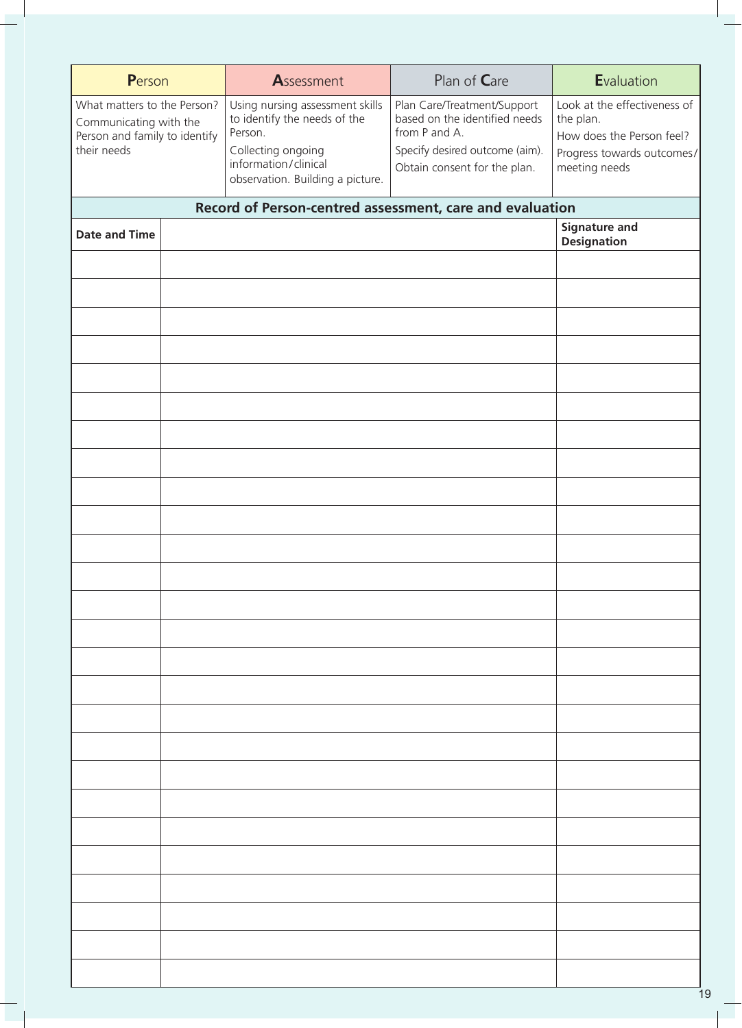| Person                                                                                                | Assessment                                                                                                                                                   | Plan of Care                                                                                                                                    | Evaluation                                                                                                            |
|-------------------------------------------------------------------------------------------------------|--------------------------------------------------------------------------------------------------------------------------------------------------------------|-------------------------------------------------------------------------------------------------------------------------------------------------|-----------------------------------------------------------------------------------------------------------------------|
| What matters to the Person?<br>Communicating with the<br>Person and family to identify<br>their needs | Using nursing assessment skills<br>to identify the needs of the<br>Person.<br>Collecting ongoing<br>information/clinical<br>observation. Building a picture. | Plan Care/Treatment/Support<br>based on the identified needs<br>from P and A.<br>Specify desired outcome (aim).<br>Obtain consent for the plan. | Look at the effectiveness of<br>the plan.<br>How does the Person feel?<br>Progress towards outcomes/<br>meeting needs |
|                                                                                                       | Record of Person-centred assessment, care and evaluation                                                                                                     |                                                                                                                                                 |                                                                                                                       |
| <b>Date and Time</b>                                                                                  |                                                                                                                                                              |                                                                                                                                                 | <b>Signature and</b><br><b>Designation</b>                                                                            |
|                                                                                                       |                                                                                                                                                              |                                                                                                                                                 |                                                                                                                       |
|                                                                                                       |                                                                                                                                                              |                                                                                                                                                 |                                                                                                                       |
|                                                                                                       |                                                                                                                                                              |                                                                                                                                                 |                                                                                                                       |
|                                                                                                       |                                                                                                                                                              |                                                                                                                                                 |                                                                                                                       |
|                                                                                                       |                                                                                                                                                              |                                                                                                                                                 |                                                                                                                       |
|                                                                                                       |                                                                                                                                                              |                                                                                                                                                 |                                                                                                                       |
|                                                                                                       |                                                                                                                                                              |                                                                                                                                                 |                                                                                                                       |
|                                                                                                       |                                                                                                                                                              |                                                                                                                                                 |                                                                                                                       |
|                                                                                                       |                                                                                                                                                              |                                                                                                                                                 |                                                                                                                       |
|                                                                                                       |                                                                                                                                                              |                                                                                                                                                 |                                                                                                                       |
|                                                                                                       |                                                                                                                                                              |                                                                                                                                                 |                                                                                                                       |
|                                                                                                       |                                                                                                                                                              |                                                                                                                                                 |                                                                                                                       |
|                                                                                                       |                                                                                                                                                              |                                                                                                                                                 |                                                                                                                       |
|                                                                                                       |                                                                                                                                                              |                                                                                                                                                 |                                                                                                                       |
|                                                                                                       |                                                                                                                                                              |                                                                                                                                                 |                                                                                                                       |
|                                                                                                       |                                                                                                                                                              |                                                                                                                                                 |                                                                                                                       |
|                                                                                                       |                                                                                                                                                              |                                                                                                                                                 |                                                                                                                       |
|                                                                                                       |                                                                                                                                                              |                                                                                                                                                 |                                                                                                                       |
|                                                                                                       |                                                                                                                                                              |                                                                                                                                                 |                                                                                                                       |
|                                                                                                       |                                                                                                                                                              |                                                                                                                                                 |                                                                                                                       |
|                                                                                                       |                                                                                                                                                              |                                                                                                                                                 |                                                                                                                       |
|                                                                                                       |                                                                                                                                                              |                                                                                                                                                 |                                                                                                                       |
|                                                                                                       |                                                                                                                                                              |                                                                                                                                                 |                                                                                                                       |
|                                                                                                       |                                                                                                                                                              |                                                                                                                                                 |                                                                                                                       |
|                                                                                                       |                                                                                                                                                              |                                                                                                                                                 |                                                                                                                       |
|                                                                                                       |                                                                                                                                                              |                                                                                                                                                 |                                                                                                                       |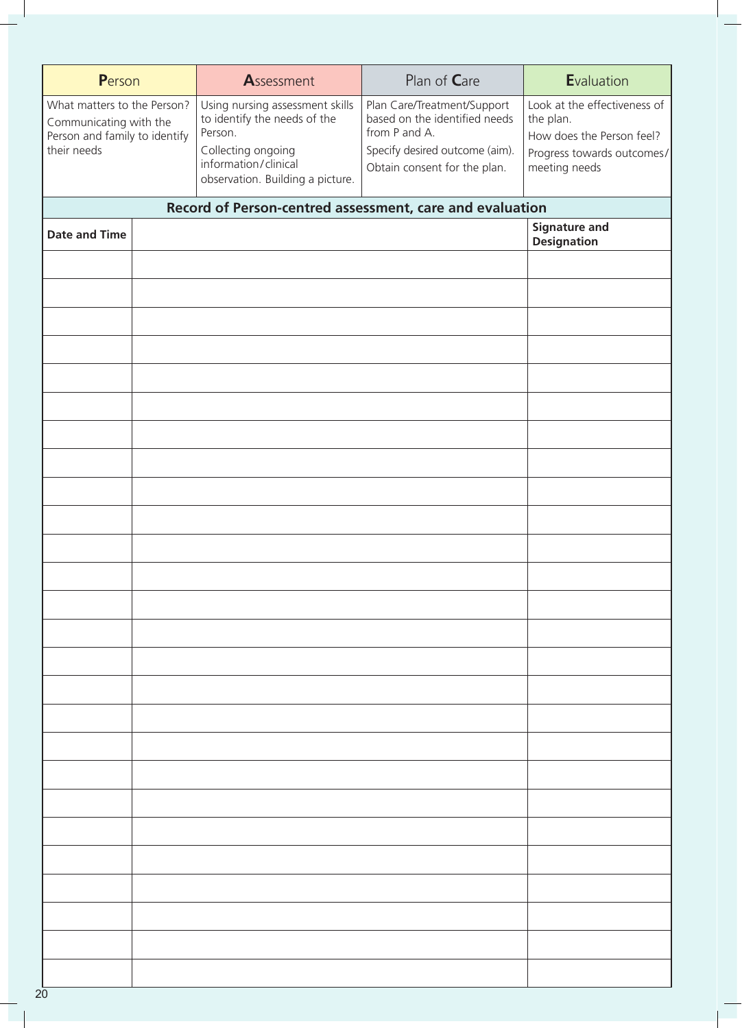| Person                                                                                                | Assessment                                                                                                                                                   | Plan of Care                                                                                                                                    | Evaluation                                                                                                            |
|-------------------------------------------------------------------------------------------------------|--------------------------------------------------------------------------------------------------------------------------------------------------------------|-------------------------------------------------------------------------------------------------------------------------------------------------|-----------------------------------------------------------------------------------------------------------------------|
| What matters to the Person?<br>Communicating with the<br>Person and family to identify<br>their needs | Using nursing assessment skills<br>to identify the needs of the<br>Person.<br>Collecting ongoing<br>information/clinical<br>observation. Building a picture. | Plan Care/Treatment/Support<br>based on the identified needs<br>from P and A.<br>Specify desired outcome (aim).<br>Obtain consent for the plan. | Look at the effectiveness of<br>the plan.<br>How does the Person feel?<br>Progress towards outcomes/<br>meeting needs |
|                                                                                                       | Record of Person-centred assessment, care and evaluation                                                                                                     |                                                                                                                                                 |                                                                                                                       |
| <b>Date and Time</b>                                                                                  |                                                                                                                                                              |                                                                                                                                                 | <b>Signature and</b><br><b>Designation</b>                                                                            |
|                                                                                                       |                                                                                                                                                              |                                                                                                                                                 |                                                                                                                       |
|                                                                                                       |                                                                                                                                                              |                                                                                                                                                 |                                                                                                                       |
|                                                                                                       |                                                                                                                                                              |                                                                                                                                                 |                                                                                                                       |
|                                                                                                       |                                                                                                                                                              |                                                                                                                                                 |                                                                                                                       |
|                                                                                                       |                                                                                                                                                              |                                                                                                                                                 |                                                                                                                       |
|                                                                                                       |                                                                                                                                                              |                                                                                                                                                 |                                                                                                                       |
|                                                                                                       |                                                                                                                                                              |                                                                                                                                                 |                                                                                                                       |
|                                                                                                       |                                                                                                                                                              |                                                                                                                                                 |                                                                                                                       |
|                                                                                                       |                                                                                                                                                              |                                                                                                                                                 |                                                                                                                       |
|                                                                                                       |                                                                                                                                                              |                                                                                                                                                 |                                                                                                                       |
|                                                                                                       |                                                                                                                                                              |                                                                                                                                                 |                                                                                                                       |
|                                                                                                       |                                                                                                                                                              |                                                                                                                                                 |                                                                                                                       |
|                                                                                                       |                                                                                                                                                              |                                                                                                                                                 |                                                                                                                       |
|                                                                                                       |                                                                                                                                                              |                                                                                                                                                 |                                                                                                                       |
|                                                                                                       |                                                                                                                                                              |                                                                                                                                                 |                                                                                                                       |
|                                                                                                       |                                                                                                                                                              |                                                                                                                                                 |                                                                                                                       |
|                                                                                                       |                                                                                                                                                              |                                                                                                                                                 |                                                                                                                       |
|                                                                                                       |                                                                                                                                                              |                                                                                                                                                 |                                                                                                                       |
|                                                                                                       |                                                                                                                                                              |                                                                                                                                                 |                                                                                                                       |
|                                                                                                       |                                                                                                                                                              |                                                                                                                                                 |                                                                                                                       |
|                                                                                                       |                                                                                                                                                              |                                                                                                                                                 |                                                                                                                       |
|                                                                                                       |                                                                                                                                                              |                                                                                                                                                 |                                                                                                                       |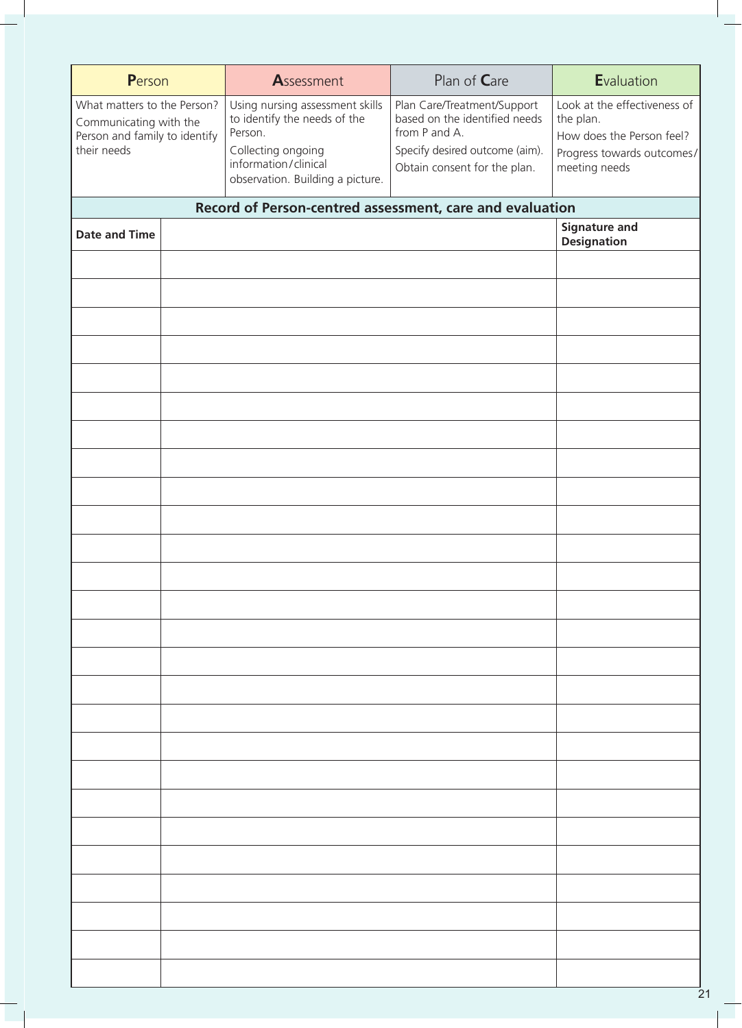| Person                                                                                                | Assessment                                                                                                                                                   | Plan of Care                                                                                                                                    | Evaluation                                                                                                            |
|-------------------------------------------------------------------------------------------------------|--------------------------------------------------------------------------------------------------------------------------------------------------------------|-------------------------------------------------------------------------------------------------------------------------------------------------|-----------------------------------------------------------------------------------------------------------------------|
| What matters to the Person?<br>Communicating with the<br>Person and family to identify<br>their needs | Using nursing assessment skills<br>to identify the needs of the<br>Person.<br>Collecting ongoing<br>information/clinical<br>observation. Building a picture. | Plan Care/Treatment/Support<br>based on the identified needs<br>from P and A.<br>Specify desired outcome (aim).<br>Obtain consent for the plan. | Look at the effectiveness of<br>the plan.<br>How does the Person feel?<br>Progress towards outcomes/<br>meeting needs |
|                                                                                                       | Record of Person-centred assessment, care and evaluation                                                                                                     |                                                                                                                                                 |                                                                                                                       |
| <b>Date and Time</b>                                                                                  |                                                                                                                                                              |                                                                                                                                                 | <b>Signature and</b><br><b>Designation</b>                                                                            |
|                                                                                                       |                                                                                                                                                              |                                                                                                                                                 |                                                                                                                       |
|                                                                                                       |                                                                                                                                                              |                                                                                                                                                 |                                                                                                                       |
|                                                                                                       |                                                                                                                                                              |                                                                                                                                                 |                                                                                                                       |
|                                                                                                       |                                                                                                                                                              |                                                                                                                                                 |                                                                                                                       |
|                                                                                                       |                                                                                                                                                              |                                                                                                                                                 |                                                                                                                       |
|                                                                                                       |                                                                                                                                                              |                                                                                                                                                 |                                                                                                                       |
|                                                                                                       |                                                                                                                                                              |                                                                                                                                                 |                                                                                                                       |
|                                                                                                       |                                                                                                                                                              |                                                                                                                                                 |                                                                                                                       |
|                                                                                                       |                                                                                                                                                              |                                                                                                                                                 |                                                                                                                       |
|                                                                                                       |                                                                                                                                                              |                                                                                                                                                 |                                                                                                                       |
|                                                                                                       |                                                                                                                                                              |                                                                                                                                                 |                                                                                                                       |
|                                                                                                       |                                                                                                                                                              |                                                                                                                                                 |                                                                                                                       |
|                                                                                                       |                                                                                                                                                              |                                                                                                                                                 |                                                                                                                       |
|                                                                                                       |                                                                                                                                                              |                                                                                                                                                 |                                                                                                                       |
|                                                                                                       |                                                                                                                                                              |                                                                                                                                                 |                                                                                                                       |
|                                                                                                       |                                                                                                                                                              |                                                                                                                                                 |                                                                                                                       |
|                                                                                                       |                                                                                                                                                              |                                                                                                                                                 |                                                                                                                       |
|                                                                                                       |                                                                                                                                                              |                                                                                                                                                 |                                                                                                                       |
|                                                                                                       |                                                                                                                                                              |                                                                                                                                                 |                                                                                                                       |
|                                                                                                       |                                                                                                                                                              |                                                                                                                                                 |                                                                                                                       |
|                                                                                                       |                                                                                                                                                              |                                                                                                                                                 |                                                                                                                       |
|                                                                                                       |                                                                                                                                                              |                                                                                                                                                 |                                                                                                                       |
|                                                                                                       |                                                                                                                                                              |                                                                                                                                                 |                                                                                                                       |
|                                                                                                       |                                                                                                                                                              |                                                                                                                                                 |                                                                                                                       |
|                                                                                                       |                                                                                                                                                              |                                                                                                                                                 |                                                                                                                       |
|                                                                                                       |                                                                                                                                                              |                                                                                                                                                 |                                                                                                                       |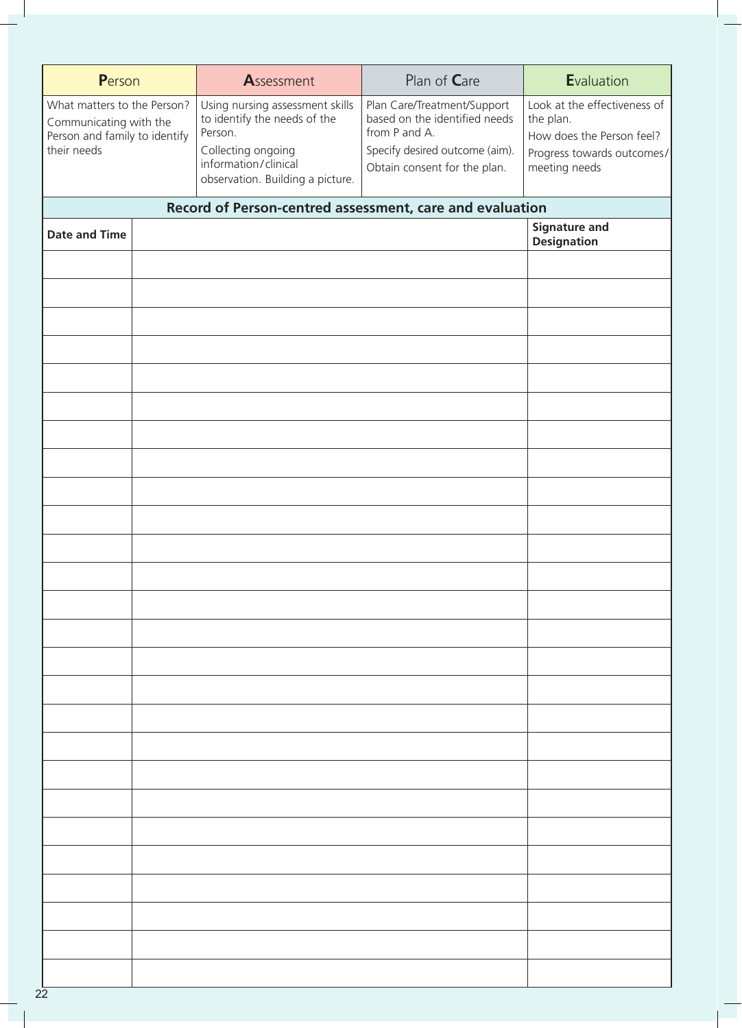| Person                                                                                                | Assessment                                                                                                                                                   | Plan of Care                                                                                                                                    | <b>E</b> valuation                                                                                                    |
|-------------------------------------------------------------------------------------------------------|--------------------------------------------------------------------------------------------------------------------------------------------------------------|-------------------------------------------------------------------------------------------------------------------------------------------------|-----------------------------------------------------------------------------------------------------------------------|
| What matters to the Person?<br>Communicating with the<br>Person and family to identify<br>their needs | Using nursing assessment skills<br>to identify the needs of the<br>Person.<br>Collecting ongoing<br>information/clinical<br>observation. Building a picture. | Plan Care/Treatment/Support<br>based on the identified needs<br>from P and A.<br>Specify desired outcome (aim).<br>Obtain consent for the plan. | Look at the effectiveness of<br>the plan.<br>How does the Person feel?<br>Progress towards outcomes/<br>meeting needs |
|                                                                                                       | Record of Person-centred assessment, care and evaluation                                                                                                     |                                                                                                                                                 |                                                                                                                       |
| <b>Date and Time</b>                                                                                  |                                                                                                                                                              |                                                                                                                                                 | <b>Signature and</b><br><b>Designation</b>                                                                            |
|                                                                                                       |                                                                                                                                                              |                                                                                                                                                 |                                                                                                                       |
|                                                                                                       |                                                                                                                                                              |                                                                                                                                                 |                                                                                                                       |
|                                                                                                       |                                                                                                                                                              |                                                                                                                                                 |                                                                                                                       |
|                                                                                                       |                                                                                                                                                              |                                                                                                                                                 |                                                                                                                       |
|                                                                                                       |                                                                                                                                                              |                                                                                                                                                 |                                                                                                                       |
|                                                                                                       |                                                                                                                                                              |                                                                                                                                                 |                                                                                                                       |
|                                                                                                       |                                                                                                                                                              |                                                                                                                                                 |                                                                                                                       |
|                                                                                                       |                                                                                                                                                              |                                                                                                                                                 |                                                                                                                       |
|                                                                                                       |                                                                                                                                                              |                                                                                                                                                 |                                                                                                                       |
|                                                                                                       |                                                                                                                                                              |                                                                                                                                                 |                                                                                                                       |
|                                                                                                       |                                                                                                                                                              |                                                                                                                                                 |                                                                                                                       |
|                                                                                                       |                                                                                                                                                              |                                                                                                                                                 |                                                                                                                       |
|                                                                                                       |                                                                                                                                                              |                                                                                                                                                 |                                                                                                                       |
|                                                                                                       |                                                                                                                                                              |                                                                                                                                                 |                                                                                                                       |
|                                                                                                       |                                                                                                                                                              |                                                                                                                                                 |                                                                                                                       |
|                                                                                                       |                                                                                                                                                              |                                                                                                                                                 |                                                                                                                       |
|                                                                                                       |                                                                                                                                                              |                                                                                                                                                 |                                                                                                                       |
|                                                                                                       |                                                                                                                                                              |                                                                                                                                                 |                                                                                                                       |
|                                                                                                       |                                                                                                                                                              |                                                                                                                                                 |                                                                                                                       |
|                                                                                                       |                                                                                                                                                              |                                                                                                                                                 |                                                                                                                       |
|                                                                                                       |                                                                                                                                                              |                                                                                                                                                 |                                                                                                                       |
|                                                                                                       |                                                                                                                                                              |                                                                                                                                                 |                                                                                                                       |
|                                                                                                       |                                                                                                                                                              |                                                                                                                                                 |                                                                                                                       |
|                                                                                                       |                                                                                                                                                              |                                                                                                                                                 |                                                                                                                       |
|                                                                                                       |                                                                                                                                                              |                                                                                                                                                 |                                                                                                                       |
|                                                                                                       |                                                                                                                                                              |                                                                                                                                                 |                                                                                                                       |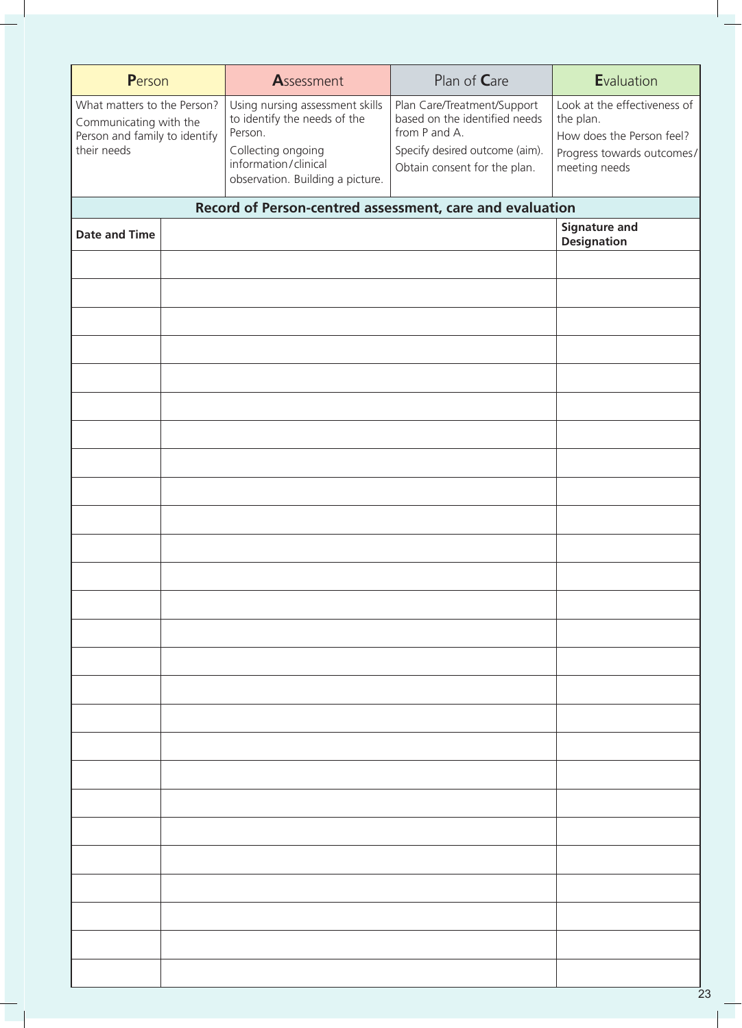| Person                                                                                                | Assessment                                                                                                                                                   | Plan of Care                                                                                                                                    | Evaluation                                                                                                            |
|-------------------------------------------------------------------------------------------------------|--------------------------------------------------------------------------------------------------------------------------------------------------------------|-------------------------------------------------------------------------------------------------------------------------------------------------|-----------------------------------------------------------------------------------------------------------------------|
| What matters to the Person?<br>Communicating with the<br>Person and family to identify<br>their needs | Using nursing assessment skills<br>to identify the needs of the<br>Person.<br>Collecting ongoing<br>information/clinical<br>observation. Building a picture. | Plan Care/Treatment/Support<br>based on the identified needs<br>from P and A.<br>Specify desired outcome (aim).<br>Obtain consent for the plan. | Look at the effectiveness of<br>the plan.<br>How does the Person feel?<br>Progress towards outcomes/<br>meeting needs |
|                                                                                                       | Record of Person-centred assessment, care and evaluation                                                                                                     |                                                                                                                                                 |                                                                                                                       |
| <b>Date and Time</b>                                                                                  |                                                                                                                                                              |                                                                                                                                                 | <b>Signature and</b><br><b>Designation</b>                                                                            |
|                                                                                                       |                                                                                                                                                              |                                                                                                                                                 |                                                                                                                       |
|                                                                                                       |                                                                                                                                                              |                                                                                                                                                 |                                                                                                                       |
|                                                                                                       |                                                                                                                                                              |                                                                                                                                                 |                                                                                                                       |
|                                                                                                       |                                                                                                                                                              |                                                                                                                                                 |                                                                                                                       |
|                                                                                                       |                                                                                                                                                              |                                                                                                                                                 |                                                                                                                       |
|                                                                                                       |                                                                                                                                                              |                                                                                                                                                 |                                                                                                                       |
|                                                                                                       |                                                                                                                                                              |                                                                                                                                                 |                                                                                                                       |
|                                                                                                       |                                                                                                                                                              |                                                                                                                                                 |                                                                                                                       |
|                                                                                                       |                                                                                                                                                              |                                                                                                                                                 |                                                                                                                       |
|                                                                                                       |                                                                                                                                                              |                                                                                                                                                 |                                                                                                                       |
|                                                                                                       |                                                                                                                                                              |                                                                                                                                                 |                                                                                                                       |
|                                                                                                       |                                                                                                                                                              |                                                                                                                                                 |                                                                                                                       |
|                                                                                                       |                                                                                                                                                              |                                                                                                                                                 |                                                                                                                       |
|                                                                                                       |                                                                                                                                                              |                                                                                                                                                 |                                                                                                                       |
|                                                                                                       |                                                                                                                                                              |                                                                                                                                                 |                                                                                                                       |
|                                                                                                       |                                                                                                                                                              |                                                                                                                                                 |                                                                                                                       |
|                                                                                                       |                                                                                                                                                              |                                                                                                                                                 |                                                                                                                       |
|                                                                                                       |                                                                                                                                                              |                                                                                                                                                 |                                                                                                                       |
|                                                                                                       |                                                                                                                                                              |                                                                                                                                                 |                                                                                                                       |
|                                                                                                       |                                                                                                                                                              |                                                                                                                                                 |                                                                                                                       |
|                                                                                                       |                                                                                                                                                              |                                                                                                                                                 |                                                                                                                       |
|                                                                                                       |                                                                                                                                                              |                                                                                                                                                 |                                                                                                                       |
|                                                                                                       |                                                                                                                                                              |                                                                                                                                                 |                                                                                                                       |
|                                                                                                       |                                                                                                                                                              |                                                                                                                                                 |                                                                                                                       |
|                                                                                                       |                                                                                                                                                              |                                                                                                                                                 |                                                                                                                       |
|                                                                                                       |                                                                                                                                                              |                                                                                                                                                 |                                                                                                                       |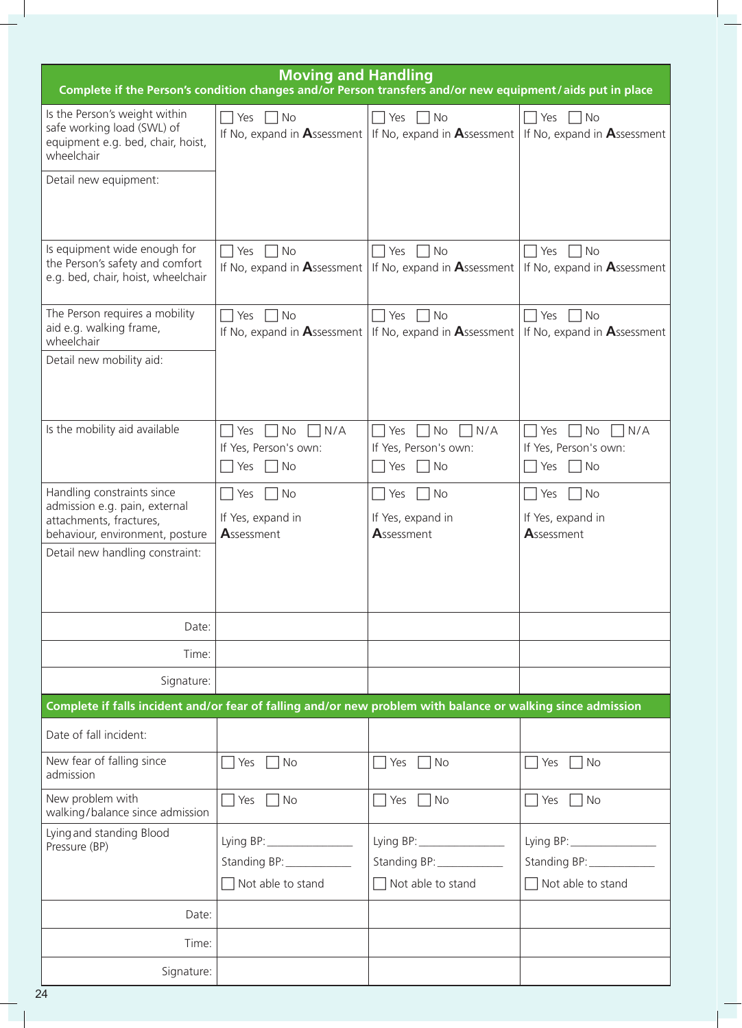| <b>Moving and Handling</b><br>Complete if the Person's condition changes and/or Person transfers and/or new equipment/aids put in place                      |                                                                          |                                                                                                                    |                                                                            |  |  |
|--------------------------------------------------------------------------------------------------------------------------------------------------------------|--------------------------------------------------------------------------|--------------------------------------------------------------------------------------------------------------------|----------------------------------------------------------------------------|--|--|
| Is the Person's weight within<br>safe working load (SWL) of<br>equipment e.g. bed, chair, hoist,<br>wheelchair                                               | <b>No</b><br>$\Box$ Yes                                                  | No<br>$\Box$ Yes $\Box$<br>If No, expand in Assessment   If No, expand in Assessment   If No, expand in Assessment | $\Box$ No<br>$\Box$ Yes                                                    |  |  |
| Detail new equipment:                                                                                                                                        |                                                                          |                                                                                                                    |                                                                            |  |  |
| Is equipment wide enough for<br>the Person's safety and comfort<br>e.g. bed, chair, hoist, wheelchair                                                        | $\Box$ Yes $\Box$ No                                                     | No<br>$\Box$ Yes $\Box$<br>If No, expand in Assessment   If No, expand in Assessment   If No, expand in Assessment | $\Box$ Yes $\Box$ No                                                       |  |  |
| The Person requires a mobility<br>aid e.g. walking frame,<br>wheelchair                                                                                      | No<br>Yes<br>If No, expand in $\mathbf{A}$ ssessment                     | <b>No</b><br>$\Box$ Yes $\Box$<br>If No, expand in $\mathbf{A}$ ssessment                                          | $\Box$ Yes $\Box$ No<br>If No, expand in Assessment                        |  |  |
| Detail new mobility aid:                                                                                                                                     |                                                                          |                                                                                                                    |                                                                            |  |  |
| Is the mobility aid available                                                                                                                                | $\Box$ Yes $\Box$ No<br>$\Box$ N/A<br>If Yes, Person's own:<br>No<br>Yes | $\Box$ Yes $\Box$ No<br>$\Box$ N/A<br>If Yes, Person's own:<br><b>No</b><br>Yes                                    | $\Box$ Yes $\Box$ No<br>$\neg N/A$<br>If Yes, Person's own:<br>  No<br>Yes |  |  |
| Handling constraints since<br>admission e.g. pain, external<br>attachments, fractures,<br>behaviour, environment, posture<br>Detail new handling constraint: | <b>No</b><br>  Yes<br>If Yes, expand in<br>Assessment                    | <b>No</b><br>  Yes<br>If Yes, expand in<br>Assessment                                                              | No<br>  Yes<br>If Yes, expand in<br>Assessment                             |  |  |
| Date:                                                                                                                                                        |                                                                          |                                                                                                                    |                                                                            |  |  |
| Time:                                                                                                                                                        |                                                                          |                                                                                                                    |                                                                            |  |  |
| Signature:                                                                                                                                                   |                                                                          |                                                                                                                    |                                                                            |  |  |
| Complete if falls incident and/or fear of falling and/or new problem with balance or walking since admission                                                 |                                                                          |                                                                                                                    |                                                                            |  |  |
| Date of fall incident:                                                                                                                                       |                                                                          |                                                                                                                    |                                                                            |  |  |
| New fear of falling since<br>admission                                                                                                                       | No<br>Yes                                                                | No<br>Yes                                                                                                          | No<br>Yes                                                                  |  |  |
| New problem with<br>walking/balance since admission                                                                                                          | Yes<br>$\Box$ No                                                         | $\Box$ No<br>Yes                                                                                                   | Yes<br>$\Box$ No<br>$\blacksquare$                                         |  |  |
| Lying and standing Blood<br>Pressure (BP)                                                                                                                    | Standing BP: ____________<br>Not able to stand                           | Standing BP: ______________<br>$\Box$ Not able to stand                                                            | Lying BP: $\frac{1}{2}$<br>$\Box$ Not able to stand                        |  |  |
| Date:                                                                                                                                                        |                                                                          |                                                                                                                    |                                                                            |  |  |
| Time:                                                                                                                                                        |                                                                          |                                                                                                                    |                                                                            |  |  |
| Signature:                                                                                                                                                   |                                                                          |                                                                                                                    |                                                                            |  |  |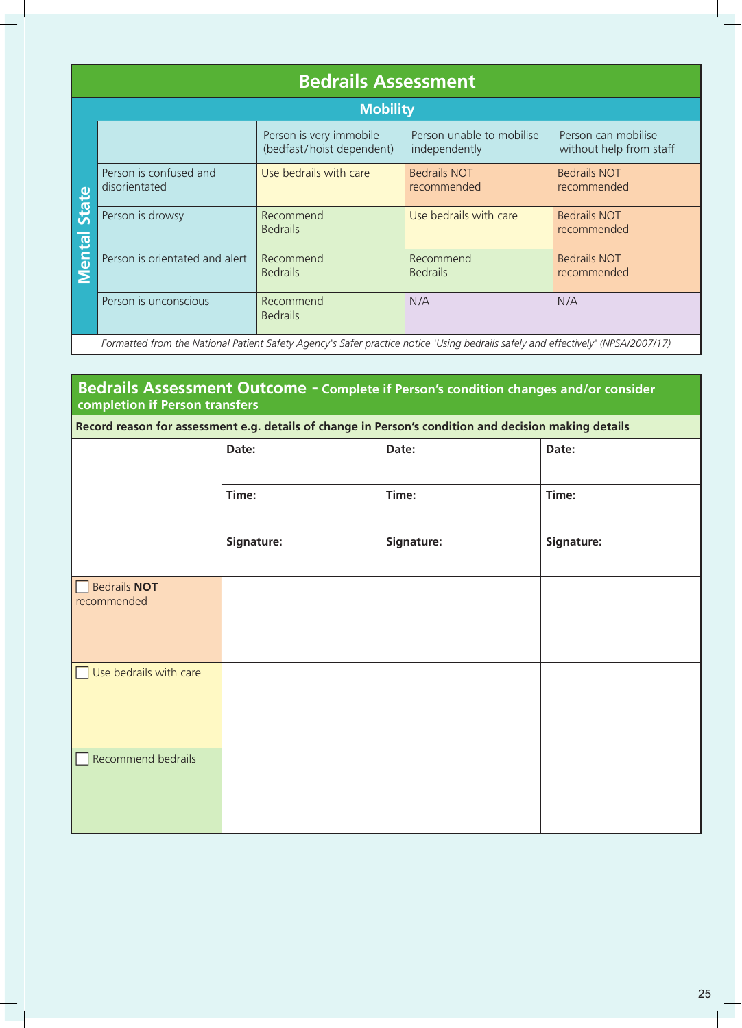|                | <b>Bedrails Assessment</b>                                                                                                       |                                                      |                                            |                                                |  |  |  |  |
|----------------|----------------------------------------------------------------------------------------------------------------------------------|------------------------------------------------------|--------------------------------------------|------------------------------------------------|--|--|--|--|
|                | <b>Mobility</b>                                                                                                                  |                                                      |                                            |                                                |  |  |  |  |
|                |                                                                                                                                  | Person is very immobile<br>(bedfast/hoist dependent) | Person unable to mobilise<br>independently | Person can mobilise<br>without help from staff |  |  |  |  |
|                | Person is confused and<br>disorientated                                                                                          | Use bedrails with care                               | <b>Bedrails NOT</b><br>recommended         | <b>Bedrails NOT</b><br>recommended             |  |  |  |  |
| State<br>Menta | Person is drowsy                                                                                                                 | Recommend<br><b>Bedrails</b>                         | Use bedrails with care                     | <b>Bedrails NOT</b><br>recommended             |  |  |  |  |
|                | Person is orientated and alert                                                                                                   | Recommend<br><b>Bedrails</b>                         | Recommend<br><b>Bedrails</b>               | <b>Bedrails NOT</b><br>recommended             |  |  |  |  |
|                | Person is unconscious                                                                                                            | Recommend<br><b>Bedrails</b>                         | N/A                                        | N/A                                            |  |  |  |  |
|                | Formatted from the National Patient Safety Agency's Safer practice notice 'Using bedrails safely and effectively' (NPSA/2007/17) |                                                      |                                            |                                                |  |  |  |  |

## **Bedrails Assessment Outcome - Complete if Person's condition changes and/or consider completion if Person transfers**

|  | ubulelitateu                                                              |            |                              |       | <b>ICCONNIER</b>                                                                                                                 | <u>iecomment</u> e                 |  |
|--|---------------------------------------------------------------------------|------------|------------------------------|-------|----------------------------------------------------------------------------------------------------------------------------------|------------------------------------|--|
|  | <b>Mental State</b><br>Person is drowsy<br>Person is orientated and alert |            | Recommend<br><b>Bedrails</b> |       | Use bedrails with care                                                                                                           | <b>Bedrails NOT</b><br>recommended |  |
|  |                                                                           |            | Recommend<br><b>Bedrails</b> |       | Recommend<br><b>Bedrails</b>                                                                                                     | <b>Bedrails NOT</b><br>recommended |  |
|  | Person is unconscious                                                     |            | Recommend<br><b>Bedrails</b> |       | N/A                                                                                                                              | N/A                                |  |
|  |                                                                           |            |                              |       | Formatted from the National Patient Safety Agency's Safer practice notice 'Using bedrails safely and effectively' (NPSA/2007/17) |                                    |  |
|  |                                                                           |            |                              |       |                                                                                                                                  |                                    |  |
|  | completion if Person transfers                                            |            |                              |       | Bedrails Assessment Outcome - Complete if Person's condition changes and/or consider                                             |                                    |  |
|  |                                                                           |            |                              |       | Record reason for assessment e.g. details of change in Person's condition and decision making details                            |                                    |  |
|  |                                                                           | Date:      |                              | Date: |                                                                                                                                  | Date:                              |  |
|  |                                                                           | Time:      |                              | Time: |                                                                                                                                  | Time:                              |  |
|  |                                                                           | Signature: |                              |       | Signature:                                                                                                                       | Signature:                         |  |
|  | <b>Bedrails NOT</b><br>recommended                                        |            |                              |       |                                                                                                                                  |                                    |  |
|  | Use bedrails with care                                                    |            |                              |       |                                                                                                                                  |                                    |  |
|  | <b>Recommend bedrails</b>                                                 |            |                              |       |                                                                                                                                  |                                    |  |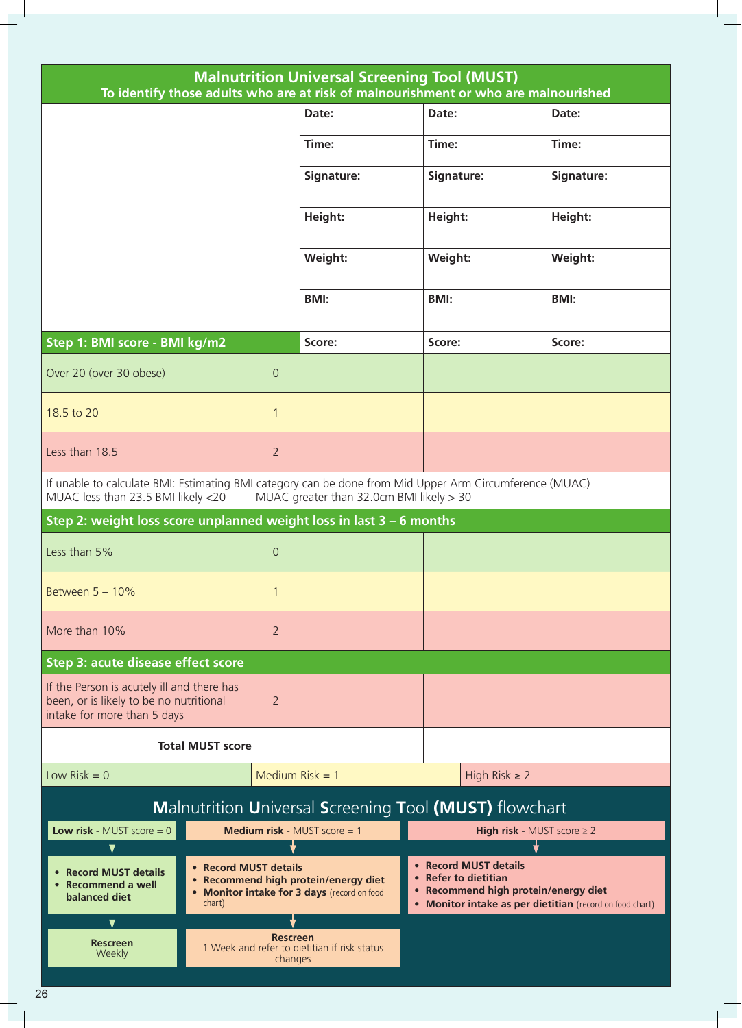| <b>Malnutrition Universal Screening Tool (MUST)</b><br>To identify those adults who are at risk of malnourishment or who are malnourished     |                            |                                                                                     |                                                                                                                                                   |             |  |
|-----------------------------------------------------------------------------------------------------------------------------------------------|----------------------------|-------------------------------------------------------------------------------------|---------------------------------------------------------------------------------------------------------------------------------------------------|-------------|--|
|                                                                                                                                               |                            | Date:                                                                               | Date:                                                                                                                                             | Date:       |  |
|                                                                                                                                               |                            | Time:                                                                               | Time:                                                                                                                                             | Time:       |  |
|                                                                                                                                               | Signature:                 | Signature:                                                                          | Signature:                                                                                                                                        |             |  |
|                                                                                                                                               |                            | Height:                                                                             | Height:                                                                                                                                           | Height:     |  |
|                                                                                                                                               |                            | Weight:                                                                             | Weight:                                                                                                                                           | Weight:     |  |
|                                                                                                                                               |                            | <b>BMI:</b>                                                                         | <b>BMI:</b>                                                                                                                                       | <b>BMI:</b> |  |
| Step 1: BMI score - BMI kg/m2                                                                                                                 |                            | Score:                                                                              | Score:                                                                                                                                            | Score:      |  |
| Over 20 (over 30 obese)                                                                                                                       | $\Omega$                   |                                                                                     |                                                                                                                                                   |             |  |
| 18.5 to 20                                                                                                                                    | $\mathbf{1}$               |                                                                                     |                                                                                                                                                   |             |  |
| Less than 18.5                                                                                                                                | $\overline{2}$             |                                                                                     |                                                                                                                                                   |             |  |
| If unable to calculate BMI: Estimating BMI category can be done from Mid Upper Arm Circumference (MUAC)<br>MUAC less than 23.5 BMI likely <20 |                            | MUAC greater than 32.0cm BMI likely > 30                                            |                                                                                                                                                   |             |  |
| Step 2: weight loss score unplanned weight loss in last $3 - 6$ months                                                                        |                            |                                                                                     |                                                                                                                                                   |             |  |
| Less than 5%                                                                                                                                  | $\overline{0}$             |                                                                                     |                                                                                                                                                   |             |  |
| Between $5 - 10\%$                                                                                                                            |                            |                                                                                     |                                                                                                                                                   |             |  |
| More than 10%<br>$\overline{2}$                                                                                                               |                            |                                                                                     |                                                                                                                                                   |             |  |
| Step 3: acute disease effect score                                                                                                            |                            |                                                                                     |                                                                                                                                                   |             |  |
| If the Person is acutely ill and there has<br>been, or is likely to be no nutritional<br>intake for more than 5 days                          | $\overline{2}$             |                                                                                     |                                                                                                                                                   |             |  |
| <b>Total MUST score</b>                                                                                                                       |                            |                                                                                     |                                                                                                                                                   |             |  |
| Low $Risk = 0$                                                                                                                                | Medium $Risk = 1$          |                                                                                     | High Risk $\geq 2$                                                                                                                                |             |  |
|                                                                                                                                               |                            |                                                                                     | Malnutrition Universal Screening Tool (MUST) flowchart                                                                                            |             |  |
| <b>Low risk - MUST score = 0</b>                                                                                                              |                            | Medium risk - MUST score = 1                                                        | <b>High risk - MUST score <math>\geq 2</math></b>                                                                                                 |             |  |
| • Record MUST details<br>• Recommend a well<br>balanced diet<br>chart)                                                                        | • Record MUST details      | • Recommend high protein/energy diet<br>• Monitor intake for 3 days (record on food | • Record MUST details<br>• Refer to dietitian<br>• Recommend high protein/energy diet<br>• Monitor intake as per dietitian (record on food chart) |             |  |
| <b>Rescreen</b><br>Weekly                                                                                                                     | <b>Rescreen</b><br>changes | 1 Week and refer to dietitian if risk status                                        |                                                                                                                                                   |             |  |
|                                                                                                                                               |                            |                                                                                     |                                                                                                                                                   |             |  |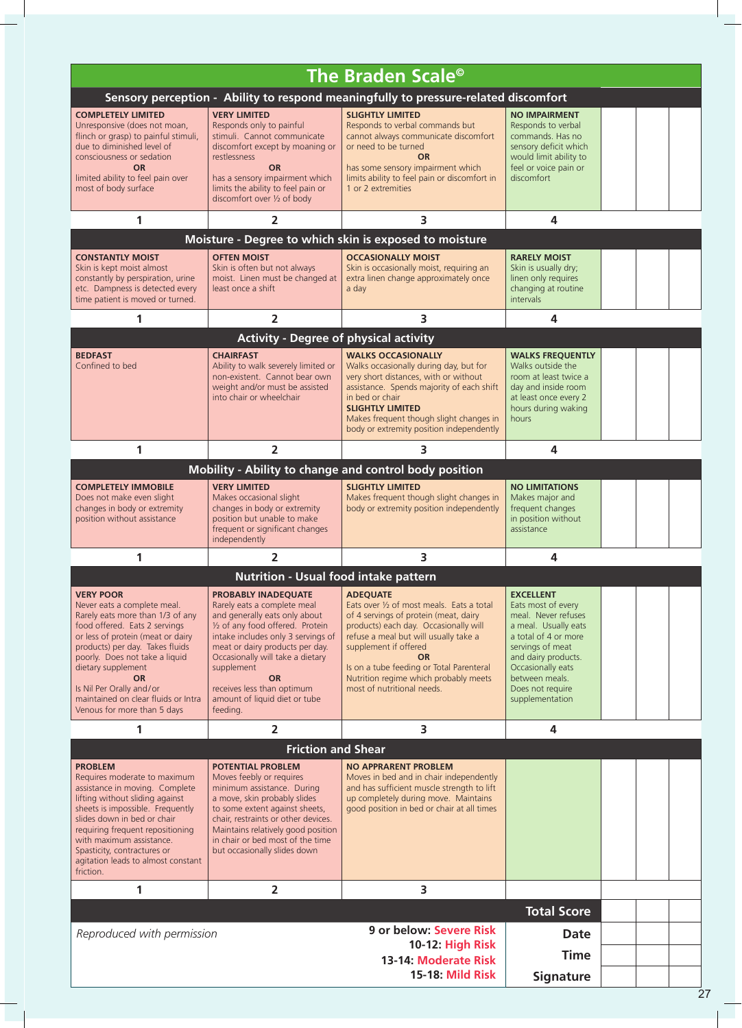|                                                                                                                                                                                                                                                                                                                                                                     |                                                                                                                                                                                                                                                                                                                                                   | The Braden Scale <sup>®</sup>                                                                                                                                                                                                                                                                                                                    |                                                                                                                                                                                                                                        |  |
|---------------------------------------------------------------------------------------------------------------------------------------------------------------------------------------------------------------------------------------------------------------------------------------------------------------------------------------------------------------------|---------------------------------------------------------------------------------------------------------------------------------------------------------------------------------------------------------------------------------------------------------------------------------------------------------------------------------------------------|--------------------------------------------------------------------------------------------------------------------------------------------------------------------------------------------------------------------------------------------------------------------------------------------------------------------------------------------------|----------------------------------------------------------------------------------------------------------------------------------------------------------------------------------------------------------------------------------------|--|
|                                                                                                                                                                                                                                                                                                                                                                     |                                                                                                                                                                                                                                                                                                                                                   |                                                                                                                                                                                                                                                                                                                                                  |                                                                                                                                                                                                                                        |  |
|                                                                                                                                                                                                                                                                                                                                                                     |                                                                                                                                                                                                                                                                                                                                                   | Sensory perception - Ability to respond meaningfully to pressure-related discomfort                                                                                                                                                                                                                                                              |                                                                                                                                                                                                                                        |  |
| <b>COMPLETELY LIMITED</b><br>Unresponsive (does not moan,<br>flinch or grasp) to painful stimuli,<br>due to diminished level of<br>consciousness or sedation<br><b>OR</b><br>limited ability to feel pain over<br>most of body surface                                                                                                                              | <b>VERY LIMITED</b><br>Responds only to painful<br>stimuli. Cannot communicate<br>discomfort except by moaning or<br>restlessness<br><b>OR</b><br>has a sensory impairment which<br>limits the ability to feel pain or<br>discomfort over 1/2 of body                                                                                             | <b>SLIGHTLY LIMITED</b><br>Responds to verbal commands but<br>cannot always communicate discomfort<br>or need to be turned<br><b>OR</b><br>has some sensory impairment which<br>limits ability to feel pain or discomfort in<br>1 or 2 extremities                                                                                               | <b>NO IMPAIRMENT</b><br>Responds to verbal<br>commands. Has no<br>sensory deficit which<br>would limit ability to<br>feel or voice pain or<br>discomfort                                                                               |  |
| 1                                                                                                                                                                                                                                                                                                                                                                   | $\overline{2}$                                                                                                                                                                                                                                                                                                                                    | 3                                                                                                                                                                                                                                                                                                                                                | 4                                                                                                                                                                                                                                      |  |
|                                                                                                                                                                                                                                                                                                                                                                     |                                                                                                                                                                                                                                                                                                                                                   | Moisture - Degree to which skin is exposed to moisture                                                                                                                                                                                                                                                                                           |                                                                                                                                                                                                                                        |  |
|                                                                                                                                                                                                                                                                                                                                                                     |                                                                                                                                                                                                                                                                                                                                                   |                                                                                                                                                                                                                                                                                                                                                  |                                                                                                                                                                                                                                        |  |
| <b>CONSTANTLY MOIST</b><br>Skin is kept moist almost<br>constantly by perspiration, urine<br>etc. Dampness is detected every<br>time patient is moved or turned.                                                                                                                                                                                                    | <b>OFTEN MOIST</b><br>Skin is often but not always<br>moist. Linen must be changed at<br>least once a shift                                                                                                                                                                                                                                       | <b>OCCASIONALLY MOIST</b><br>Skin is occasionally moist, requiring an<br>extra linen change approximately once<br>a day                                                                                                                                                                                                                          | <b>RARELY MOIST</b><br>Skin is usually dry;<br>linen only requires<br>changing at routine<br><i>intervals</i>                                                                                                                          |  |
| 1                                                                                                                                                                                                                                                                                                                                                                   | 2                                                                                                                                                                                                                                                                                                                                                 | 3                                                                                                                                                                                                                                                                                                                                                | 4                                                                                                                                                                                                                                      |  |
|                                                                                                                                                                                                                                                                                                                                                                     | <b>Activity - Degree of physical activity</b>                                                                                                                                                                                                                                                                                                     |                                                                                                                                                                                                                                                                                                                                                  |                                                                                                                                                                                                                                        |  |
| <b>BEDFAST</b><br>Confined to bed                                                                                                                                                                                                                                                                                                                                   | <b>CHAIRFAST</b><br>Ability to walk severely limited or<br>non-existent. Cannot bear own<br>weight and/or must be assisted<br>into chair or wheelchair                                                                                                                                                                                            | <b>WALKS OCCASIONALLY</b><br>Walks occasionally during day, but for<br>very short distances, with or without<br>assistance. Spends majority of each shift<br>in bed or chair<br><b>SLIGHTLY LIMITED</b><br>Makes frequent though slight changes in<br>body or extremity position independently                                                   | <b>WALKS FREQUENTLY</b><br>Walks outside the<br>room at least twice a<br>day and inside room<br>at least once every 2<br>hours during waking<br>hours                                                                                  |  |
| 1                                                                                                                                                                                                                                                                                                                                                                   | $\overline{2}$                                                                                                                                                                                                                                                                                                                                    | 3                                                                                                                                                                                                                                                                                                                                                | 4                                                                                                                                                                                                                                      |  |
|                                                                                                                                                                                                                                                                                                                                                                     |                                                                                                                                                                                                                                                                                                                                                   | Mobility - Ability to change and control body position                                                                                                                                                                                                                                                                                           |                                                                                                                                                                                                                                        |  |
| <b>COMPLETELY IMMOBILE</b><br>Does not make even slight<br>changes in body or extremity<br>position without assistance                                                                                                                                                                                                                                              | <b>VERY LIMITED</b><br>Makes occasional slight<br>changes in body or extremity<br>position but unable to make<br>frequent or significant changes<br>independently                                                                                                                                                                                 | <b>SLIGHTLY LIMITED</b><br>Makes frequent though slight changes in<br>body or extremity position independently                                                                                                                                                                                                                                   | <b>NO LIMITATIONS</b><br>Makes major and<br>frequent changes<br>in position without<br>assistance                                                                                                                                      |  |
| 1                                                                                                                                                                                                                                                                                                                                                                   | 2                                                                                                                                                                                                                                                                                                                                                 | 3                                                                                                                                                                                                                                                                                                                                                | 4                                                                                                                                                                                                                                      |  |
|                                                                                                                                                                                                                                                                                                                                                                     | <b>Nutrition - Usual food intake pattern</b>                                                                                                                                                                                                                                                                                                      |                                                                                                                                                                                                                                                                                                                                                  |                                                                                                                                                                                                                                        |  |
| <b>VERY POOR</b><br>Never eats a complete meal.<br>Rarely eats more than 1/3 of any<br>food offered. Eats 2 servings<br>or less of protein (meat or dairy<br>products) per day. Takes fluids<br>poorly. Does not take a liquid<br>dietary supplement<br><b>OR</b><br>Is Nil Per Orally and/or<br>maintained on clear fluids or Intra<br>Venous for more than 5 days | <b>PROBABLY INADEQUATE</b><br>Rarely eats a complete meal<br>and generally eats only about<br>1/2 of any food offered. Protein<br>intake includes only 3 servings of<br>meat or dairy products per day.<br>Occasionally will take a dietary<br>supplement<br><b>OR</b><br>receives less than optimum<br>amount of liquid diet or tube<br>feeding. | <b>ADEQUATE</b><br>Eats over 1/2 of most meals. Eats a total<br>of 4 servings of protein (meat, dairy<br>products) each day. Occasionally will<br>refuse a meal but will usually take a<br>supplement if offered<br><b>OR</b><br>Is on a tube feeding or Total Parenteral<br>Nutrition regime which probably meets<br>most of nutritional needs. | <b>EXCELLENT</b><br>Eats most of every<br>meal. Never refuses<br>a meal. Usually eats<br>a total of 4 or more<br>servings of meat<br>and dairy products.<br>Occasionally eats<br>between meals.<br>Does not require<br>supplementation |  |
| 1                                                                                                                                                                                                                                                                                                                                                                   | 2                                                                                                                                                                                                                                                                                                                                                 | 3                                                                                                                                                                                                                                                                                                                                                | 4                                                                                                                                                                                                                                      |  |
|                                                                                                                                                                                                                                                                                                                                                                     | <b>Friction and Shear</b>                                                                                                                                                                                                                                                                                                                         |                                                                                                                                                                                                                                                                                                                                                  |                                                                                                                                                                                                                                        |  |
| <b>PROBLEM</b><br>Requires moderate to maximum<br>assistance in moving. Complete<br>lifting without sliding against<br>sheets is impossible. Frequently<br>slides down in bed or chair<br>requiring frequent repositioning<br>with maximum assistance.<br>Spasticity, contractures or<br>agitation leads to almost constant<br>friction.                            | <b>POTENTIAL PROBLEM</b><br>Moves feebly or requires<br>minimum assistance. During<br>a move, skin probably slides<br>to some extent against sheets,<br>chair, restraints or other devices.<br>Maintains relatively good position<br>in chair or bed most of the time<br>but occasionally slides down                                             | <b>NO APPRARENT PROBLEM</b><br>Moves in bed and in chair independently<br>and has sufficient muscle strength to lift<br>up completely during move. Maintains<br>good position in bed or chair at all times                                                                                                                                       |                                                                                                                                                                                                                                        |  |
| 1                                                                                                                                                                                                                                                                                                                                                                   | $\overline{2}$                                                                                                                                                                                                                                                                                                                                    | 3                                                                                                                                                                                                                                                                                                                                                |                                                                                                                                                                                                                                        |  |
|                                                                                                                                                                                                                                                                                                                                                                     |                                                                                                                                                                                                                                                                                                                                                   |                                                                                                                                                                                                                                                                                                                                                  | <b>Total Score</b>                                                                                                                                                                                                                     |  |
| Reproduced with permission                                                                                                                                                                                                                                                                                                                                          |                                                                                                                                                                                                                                                                                                                                                   | 9 or below: Severe Risk                                                                                                                                                                                                                                                                                                                          | <b>Date</b>                                                                                                                                                                                                                            |  |
|                                                                                                                                                                                                                                                                                                                                                                     |                                                                                                                                                                                                                                                                                                                                                   | 10-12: High Risk<br>13-14: Moderate Risk                                                                                                                                                                                                                                                                                                         | <b>Time</b>                                                                                                                                                                                                                            |  |
|                                                                                                                                                                                                                                                                                                                                                                     |                                                                                                                                                                                                                                                                                                                                                   | <b>15-18: Mild Risk</b>                                                                                                                                                                                                                                                                                                                          | <b>Signature</b>                                                                                                                                                                                                                       |  |